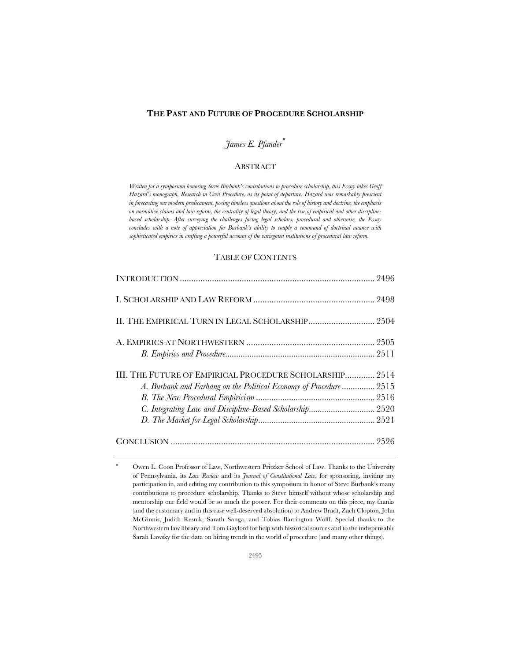#### **THE PAST AND FUTURE OF PROCEDURE SCHOLARSHIP**

# *James E. Pfander*\*

# **ABSTRACT**

*Written for a symposium honoring Steve Burbank's contributions to procedure scholarship, this Essay takes Geoff Hazard's monograph, Research in Civil Procedure, as its point of departure. Hazard was remarkably prescient in forecasting our modern predicament, posing timeless questions about the role of history and doctrine, the emphasis on normative claims and law reform, the centrality of legal theory, and the rise of empirical and other disciplinebased scholarship. After surveying the challenges facing legal scholars, procedural and otherwise, the Essay concludes with a note of appreciation for Burbank's ability to couple a command of doctrinal nuance with sophisticated empirics in crafting a powerful account of the variegated institutions of procedural law reform.*

## TABLE OF CONTENTS

| II. THE EMPIRICAL TURN IN LEGAL SCHOLARSHIP 2504                   |  |
|--------------------------------------------------------------------|--|
|                                                                    |  |
|                                                                    |  |
| III. THE FUTURE OF EMPIRICAL PROCEDURE SCHOLARSHIP 2514            |  |
| A. Burbank and Farhang on the Political Economy of Procedure  2515 |  |
|                                                                    |  |
|                                                                    |  |
|                                                                    |  |
|                                                                    |  |
|                                                                    |  |

Owen L. Coon Professor of Law, Northwestern Pritzker School of Law. Thanks to the University of Pennsylvania, its *Law Review* and its *Journal of Constitutional Law*, for sponsoring, inviting my participation in, and editing my contribution to this symposium in honor of Steve Burbank's many contributions to procedure scholarship. Thanks to Steve himself without whose scholarship and mentorship our field would be so much the poorer. For their comments on this piece, my thanks (and the customary and in this case well-deserved absolution) to Andrew Bradt, Zach Clopton, John McGinnis, Judith Resnik, Sarath Sanga, and Tobias Barrington Wolff. Special thanks to the Northwestern law library and Tom Gaylord for help with historical sources and to the indispensable Sarah Lawsky for the data on hiring trends in the world of procedure (and many other things).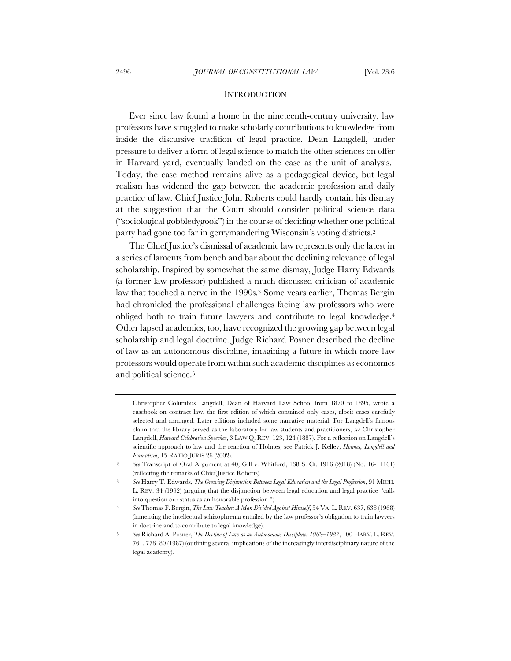#### **INTRODUCTION**

Ever since law found a home in the nineteenth-century university, law professors have struggled to make scholarly contributions to knowledge from inside the discursive tradition of legal practice. Dean Langdell, under pressure to deliver a form of legal science to match the other sciences on offer in Harvard yard, eventually landed on the case as the unit of analysis.<sup>1</sup> Today, the case method remains alive as a pedagogical device, but legal realism has widened the gap between the academic profession and daily practice of law. Chief Justice John Roberts could hardly contain his dismay at the suggestion that the Court should consider political science data ("sociological gobbledygook") in the course of deciding whether one political party had gone too far in gerrymandering Wisconsin's voting districts.2

The Chief Justice's dismissal of academic law represents only the latest in a series of laments from bench and bar about the declining relevance of legal scholarship. Inspired by somewhat the same dismay, Judge Harry Edwards (a former law professor) published a much-discussed criticism of academic law that touched a nerve in the 1990s.<sup>3</sup> Some years earlier, Thomas Bergin had chronicled the professional challenges facing law professors who were obliged both to train future lawyers and contribute to legal knowledge.4 Other lapsed academics, too, have recognized the growing gap between legal scholarship and legal doctrine. Judge Richard Posner described the decline of law as an autonomous discipline, imagining a future in which more law professors would operate from within such academic disciplines as economics and political science.5

<sup>1</sup> Christopher Columbus Langdell, Dean of Harvard Law School from 1870 to 1895, wrote a casebook on contract law, the first edition of which contained only cases, albeit cases carefully selected and arranged. Later editions included some narrative material. For Langdell's famous claim that the library served as the laboratory for law students and practitioners, *see* Christopher Langdell, *Harvard Celebration Speeches*, 3 LAW Q. REV. 123, 124 (1887). For a reflection on Langdell's scientific approach to law and the reaction of Holmes, see Patrick J. Kelley, *Holmes, Langdell and Formalism*, 15 RATIO JURIS 26 (2002).

<sup>2</sup> *See* Transcript of Oral Argument at 40, Gill v. Whitford, 138 S. Ct. 1916 (2018) (No. 16-11161) (reflecting the remarks of Chief Justice Roberts).

<sup>3</sup> *See* Harry T. Edwards, *The Growing Disjunction Between Legal Education and the Legal Profession*, 91 MICH. L. REV. 34 (1992) (arguing that the disjunction between legal education and legal practice "calls into question our status as an honorable profession.").

<sup>4</sup> *See* Thomas F. Bergin, *The Law Teacher: A Man Divided Against Himself*, 54 VA. L. REV. 637, 638 (1968) (lamenting the intellectual schizophrenia entailed by the law professor's obligation to train lawyers in doctrine and to contribute to legal knowledge).

<sup>5</sup> *See* Richard A. Posner, *The Decline of Law as an Autonomous Discipline: 1962–1987*, 100 HARV. L. REV. 761, 778–80 (1987) (outlining several implications of the increasingly interdisciplinary nature of the legal academy).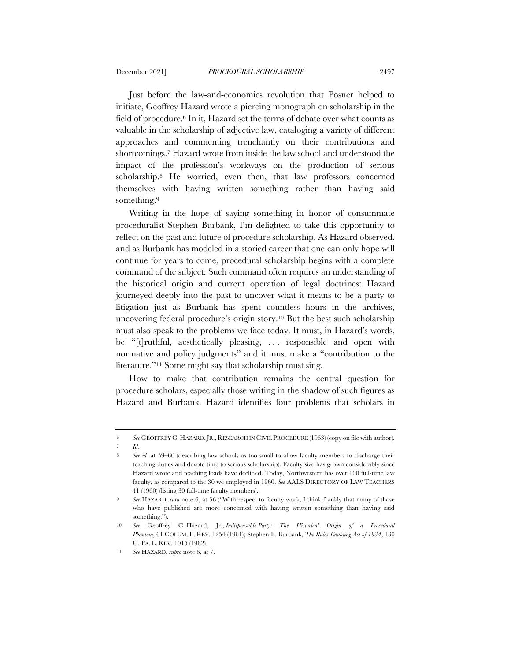Just before the law-and-economics revolution that Posner helped to initiate, Geoffrey Hazard wrote a piercing monograph on scholarship in the field of procedure.6 In it, Hazard set the terms of debate over what counts as valuable in the scholarship of adjective law, cataloging a variety of different approaches and commenting trenchantly on their contributions and shortcomings.7 Hazard wrote from inside the law school and understood the impact of the profession's workways on the production of serious scholarship.8 He worried, even then, that law professors concerned themselves with having written something rather than having said something.<sup>9</sup>

Writing in the hope of saying something in honor of consummate proceduralist Stephen Burbank, I'm delighted to take this opportunity to reflect on the past and future of procedure scholarship. As Hazard observed, and as Burbank has modeled in a storied career that one can only hope will continue for years to come, procedural scholarship begins with a complete command of the subject. Such command often requires an understanding of the historical origin and current operation of legal doctrines: Hazard journeyed deeply into the past to uncover what it means to be a party to litigation just as Burbank has spent countless hours in the archives, uncovering federal procedure's origin story.10 But the best such scholarship must also speak to the problems we face today. It must, in Hazard's words, be "[t]ruthful, aesthetically pleasing, . . . responsible and open with normative and policy judgments" and it must make a "contribution to the literature."<sup>11</sup> Some might say that scholarship must sing.

How to make that contribution remains the central question for procedure scholars, especially those writing in the shadow of such figures as Hazard and Burbank. Hazard identifies four problems that scholars in

<sup>6</sup> *See* GEOFFREY C. HAZARD,JR., RESEARCH IN CIVIL PROCEDURE (1963) (copy on file with author).

<sup>7</sup> *Id.*

<sup>8</sup> *See id.* at 59–60 (describing law schools as too small to allow faculty members to discharge their teaching duties and devote time to serious scholarship). Faculty size has grown considerably since Hazard wrote and teaching loads have declined. Today, Northwestern has over 100 full-time law faculty, as compared to the 30 we employed in 1960. *See* AALS DIRECTORY OF LAW TEACHERS 41 (1960) (listing 30 full-time faculty members).

<sup>9</sup> *See* HAZARD, *sura* note 6, at 56 ("With respect to faculty work, I think frankly that many of those who have published are more concerned with having written something than having said something.").

<sup>10</sup> *See* Geoffrey C. Hazard, Jr., *Indispensable Party: The Historical Origin of a Procedural Phantom*, 61 COLUM. L. REV. 1254 (1961); Stephen B. Burbank, *The Rules Enabling Act of 1934*, 130 U. PA. L. REV. 1015 (1982).

<sup>11</sup> *See* HAZARD, *supra* note 6, at 7.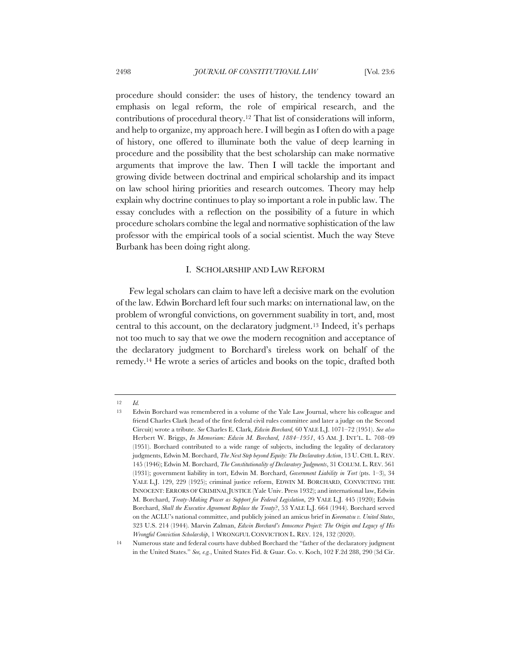procedure should consider: the uses of history, the tendency toward an emphasis on legal reform, the role of empirical research, and the contributions of procedural theory.12 That list of considerations will inform, and help to organize, my approach here. I will begin as I often do with a page of history, one offered to illuminate both the value of deep learning in procedure and the possibility that the best scholarship can make normative arguments that improve the law. Then I will tackle the important and growing divide between doctrinal and empirical scholarship and its impact on law school hiring priorities and research outcomes. Theory may help explain why doctrine continues to play so important a role in public law. The essay concludes with a reflection on the possibility of a future in which procedure scholars combine the legal and normative sophistication of the law professor with the empirical tools of a social scientist. Much the way Steve Burbank has been doing right along.

#### I. SCHOLARSHIP AND LAW REFORM

Few legal scholars can claim to have left a decisive mark on the evolution of the law. Edwin Borchard left four such marks: on international law, on the problem of wrongful convictions, on government suability in tort, and, most central to this account, on the declaratory judgment.13 Indeed, it's perhaps not too much to say that we owe the modern recognition and acceptance of the declaratory judgment to Borchard's tireless work on behalf of the remedy.14 He wrote a series of articles and books on the topic, drafted both

<sup>12</sup> *Id.*

<sup>13</sup> Edwin Borchard was remembered in a volume of the Yale Law Journal, where his colleague and friend Charles Clark (head of the first federal civil rules committee and later a judge on the Second Circuit) wrote a tribute. *See* Charles E. Clark, *Edwin Borchard,* 60 YALE L.J. 1071–72 (1951). *See also* Herbert W. Briggs, *In Memoriam: Edwin M. Borchard, 1884–1951*, 45 AM. J. INT'L. L. 708–09 (1951). Borchard contributed to a wide range of subjects, including the legality of declaratory judgments, Edwin M. Borchard, *The Next Step beyond Equity: The Declaratory Action*, 13 U. CHI. L. REV. 145 (1946); Edwin M. Borchard, *The Constitutionality of Declaratory Judgments*, 31 COLUM. L. REV. 561 (1931); government liability in tort, Edwin M. Borchard, *Government Liability in Tort* (pts. 1–3), 34 YALE L.J. 129, 229 (1925); criminal justice reform, EDWIN M. BORCHARD, CONVICTING THE INNOCENT: ERRORS OF CRIMINAL JUSTICE (Yale Univ. Press 1932); and international law, Edwin M. Borchard, *Treaty-Making Power as Support for Federal Legislation*, 29 YALE L.J. 445 (1920); Edwin Borchard, *Shall the Executive Agreement Replace the Treaty*?, 53 YALE L.J. 664 (1944). Borchard served on the ACLU's national committee, and publicly joined an amicus brief in *Korematsu v. United States*, 323 U.S. 214 (1944). Marvin Zalman, *Edwin Borchard's Innocence Project: The Origin and Legacy of His Wrongful Conviction Scholarship*, 1 WRONGFUL CONVICTION L. REV. 124, 132 (2020).

<sup>14</sup> Numerous state and federal courts have dubbed Borchard the "father of the declaratory judgment in the United States." *See, e.g.*, United States Fid. & Guar. Co. v. Koch, 102 F.2d 288, 290 (3d Cir.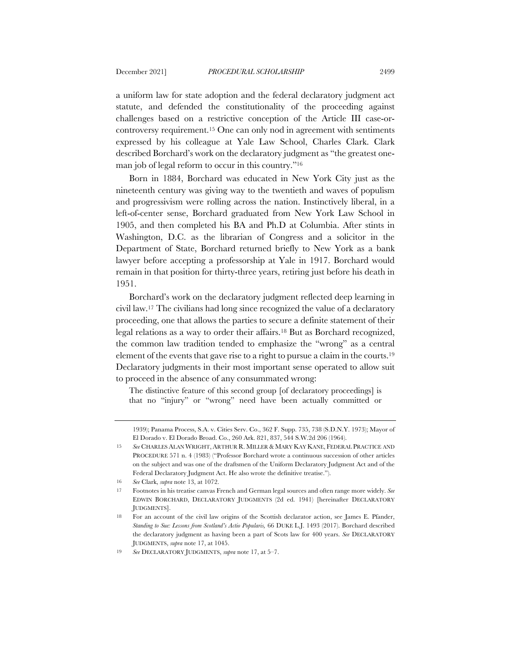a uniform law for state adoption and the federal declaratory judgment act statute, and defended the constitutionality of the proceeding against challenges based on a restrictive conception of the Article III case-orcontroversy requirement.15 One can only nod in agreement with sentiments expressed by his colleague at Yale Law School, Charles Clark. Clark described Borchard's work on the declaratory judgment as "the greatest oneman job of legal reform to occur in this country."16

Born in 1884, Borchard was educated in New York City just as the nineteenth century was giving way to the twentieth and waves of populism and progressivism were rolling across the nation. Instinctively liberal, in a left-of-center sense, Borchard graduated from New York Law School in 1905, and then completed his BA and Ph.D at Columbia. After stints in Washington, D.C. as the librarian of Congress and a solicitor in the Department of State, Borchard returned briefly to New York as a bank lawyer before accepting a professorship at Yale in 1917. Borchard would remain in that position for thirty-three years, retiring just before his death in 1951.

Borchard's work on the declaratory judgment reflected deep learning in civil law.17 The civilians had long since recognized the value of a declaratory proceeding, one that allows the parties to secure a definite statement of their legal relations as a way to order their affairs.18 But as Borchard recognized, the common law tradition tended to emphasize the "wrong" as a central element of the events that gave rise to a right to pursue a claim in the courts.19 Declaratory judgments in their most important sense operated to allow suit to proceed in the absence of any consummated wrong:

The distinctive feature of this second group [of declaratory proceedings] is that no "injury" or "wrong" need have been actually committed or

<sup>1939);</sup> Panama Process, S.A. v. Cities Serv. Co., 362 F. Supp. 735, 738 (S.D.N.Y. 1973); Mayor of El Dorado v. El Dorado Broad. Co., 260 Ark. 821, 837, 544 S.W.2d 206 (1964).

<sup>15</sup> *See* CHARLES ALAN WRIGHT, ARTHUR R. MILLER & MARY KAY KANE, FEDERAL PRACTICE AND PROCEDURE 571 n. 4 (1983) ("Professor Borchard wrote a continuous succession of other articles on the subject and was one of the draftsmen of the Uniform Declaratory Judgment Act and of the Federal Declaratory Judgment Act. He also wrote the definitive treatise.").

<sup>16</sup> *See* Clark, *supra* note 13, at 1072.

<sup>17</sup> Footnotes in his treatise canvas French and German legal sources and often range more widely. *See* EDWIN BORCHARD, DECLARATORY JUDGMENTS (2d ed. 1941) [hereinafter DECLARATORY JUDGMENTS].

<sup>18</sup> For an account of the civil law origins of the Scottish declarator action, see James E. Pfander, *Standing to Sue: Lessons from Scotland's Actio Popularis,* 66 DUKE L.J. 1493 (2017). Borchard described the declaratory judgment as having been a part of Scots law for 400 years. *See* DECLARATORY JUDGMENTS, *supra* note 17, at 1045.

<sup>19</sup> *See* DECLARATORY JUDGMENTS, *supra* note 17, at 5–7.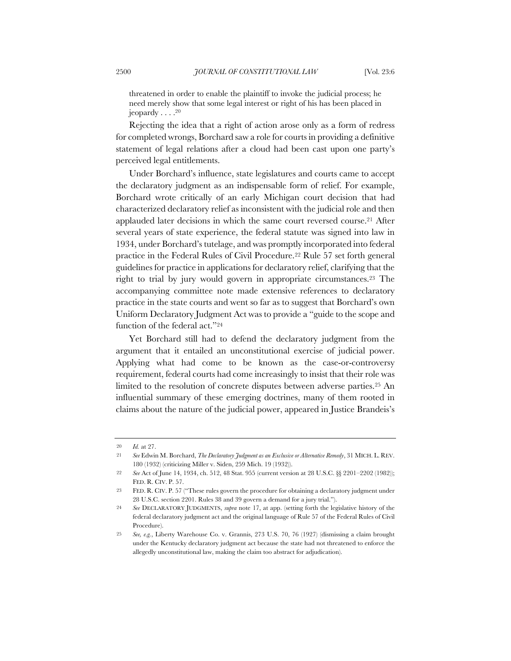threatened in order to enable the plaintiff to invoke the judicial process; he need merely show that some legal interest or right of his has been placed in jeopardy  $\dots$ .<sup>20</sup>

Rejecting the idea that a right of action arose only as a form of redress for completed wrongs, Borchard saw a role for courts in providing a definitive statement of legal relations after a cloud had been cast upon one party's perceived legal entitlements.

Under Borchard's influence, state legislatures and courts came to accept the declaratory judgment as an indispensable form of relief. For example, Borchard wrote critically of an early Michigan court decision that had characterized declaratory relief as inconsistent with the judicial role and then applauded later decisions in which the same court reversed course.21 After several years of state experience, the federal statute was signed into law in 1934, under Borchard's tutelage, and was promptly incorporated into federal practice in the Federal Rules of Civil Procedure.22 Rule 57 set forth general guidelines for practice in applications for declaratory relief, clarifying that the right to trial by jury would govern in appropriate circumstances.23 The accompanying committee note made extensive references to declaratory practice in the state courts and went so far as to suggest that Borchard's own Uniform Declaratory Judgment Act was to provide a "guide to the scope and function of the federal act."24

Yet Borchard still had to defend the declaratory judgment from the argument that it entailed an unconstitutional exercise of judicial power. Applying what had come to be known as the case-or-controversy requirement, federal courts had come increasingly to insist that their role was limited to the resolution of concrete disputes between adverse parties.25 An influential summary of these emerging doctrines, many of them rooted in claims about the nature of the judicial power, appeared in Justice Brandeis's

<sup>20</sup> *Id.* at 27.

<sup>21</sup> *See* Edwin M. Borchard, *The Declaratory Judgment as an Exclusive or Alternative Remedy*, 31 MICH. L. REV. 180 (1932) (criticizing Miller v. Siden, 259 Mich. 19 (1932)).

<sup>22</sup> *See* Act of June 14, 1934, ch. 512, 48 Stat. 955 (current version at 28 U.S.C. §§ 2201–2202 (1982)); FED. R. CIV. P. 57.

<sup>23</sup> FED. R. CIV. P. 57 ("These rules govern the procedure for obtaining a declaratory judgment under 28 U.S.C. section 2201. Rules 38 and 39 govern a demand for a jury trial.").

<sup>24</sup> *See* DECLARATORY JUDGMENTS, *supra* note 17, at app. (setting forth the legislative history of the federal declaratory judgment act and the original language of Rule 57 of the Federal Rules of Civil Procedure).

<sup>25</sup> *See, e.g.*, Liberty Warehouse Co. v. Grannis, 273 U.S. 70, 76 (1927) (dismissing a claim brought under the Kentucky declaratory judgment act because the state had not threatened to enforce the allegedly unconstitutional law, making the claim too abstract for adjudication).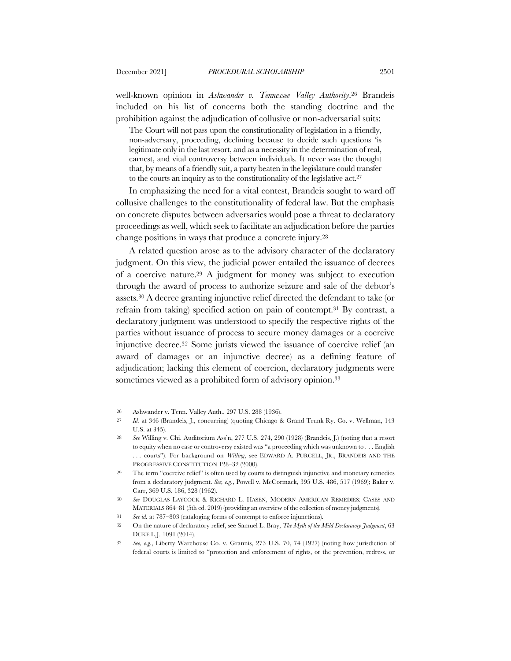well-known opinion in *Ashwander v. Tennessee Valley Authority*.26 Brandeis included on his list of concerns both the standing doctrine and the prohibition against the adjudication of collusive or non-adversarial suits:

The Court will not pass upon the constitutionality of legislation in a friendly, non-adversary, proceeding, declining because to decide such questions 'is legitimate only in the last resort, and as a necessity in the determination of real, earnest, and vital controversy between individuals. It never was the thought that, by means of a friendly suit, a party beaten in the legislature could transfer to the courts an inquiry as to the constitutionality of the legislative act.27

In emphasizing the need for a vital contest, Brandeis sought to ward off collusive challenges to the constitutionality of federal law. But the emphasis on concrete disputes between adversaries would pose a threat to declaratory proceedings as well, which seek to facilitate an adjudication before the parties change positions in ways that produce a concrete injury.28

A related question arose as to the advisory character of the declaratory judgment. On this view, the judicial power entailed the issuance of decrees of a coercive nature.29 A judgment for money was subject to execution through the award of process to authorize seizure and sale of the debtor's assets.30 A decree granting injunctive relief directed the defendant to take (or refrain from taking) specified action on pain of contempt.31 By contrast, a declaratory judgment was understood to specify the respective rights of the parties without issuance of process to secure money damages or a coercive injunctive decree.32 Some jurists viewed the issuance of coercive relief (an award of damages or an injunctive decree) as a defining feature of adjudication; lacking this element of coercion, declaratory judgments were sometimes viewed as a prohibited form of advisory opinion.<sup>33</sup>

<sup>26</sup> Ashwander v. Tenn. Valley Auth., 297 U.S. 288 (1936).

<sup>27</sup> *Id.* at 346 (Brandeis, J., concurring) (quoting Chicago & Grand Trunk Ry. Co. v. Wellman, 143 U.S. at 345).

<sup>28</sup> *See* Willing v. Chi. Auditorium Ass'n, 277 U.S. 274, 290 (1928) (Brandeis, J.) (noting that a resort to equity when no case or controversy existed was "a proceeding which was unknown to . . . English . . . courts"). For background on *Willing*, see EDWARD A. PURCELL, JR., BRANDEIS AND THE PROGRESSIVE CONSTITUTION 128–32 (2000).

<sup>29</sup> The term "coercive relief" is often used by courts to distinguish injunctive and monetary remedies from a declaratory judgment. *See, e.g*., Powell v. McCormack, 395 U.S. 486, 517 (1969); Baker v. Carr, 369 U.S. 186, 328 (1962).

<sup>30</sup> *See* DOUGLAS LAYCOCK & RICHARD L. HASEN, MODERN AMERICAN REMEDIES: CASES AND MATERIALS 864–81 (5th ed. 2019) (providing an overview of the collection of money judgments).

<sup>31</sup> *See id.* at 787–803 (cataloging forms of contempt to enforce injunctions).

<sup>32</sup> On the nature of declaratory relief, see Samuel L. Bray, *The Myth of the Mild Declaratory Judgment*, 63 DUKE L.J. 1091 (2014).

<sup>33</sup> *See, e.g.*, Liberty Warehouse Co. v. Grannis, 273 U.S. 70, 74 (1927) (noting how jurisdiction of federal courts is limited to "protection and enforcement of rights, or the prevention, redress, or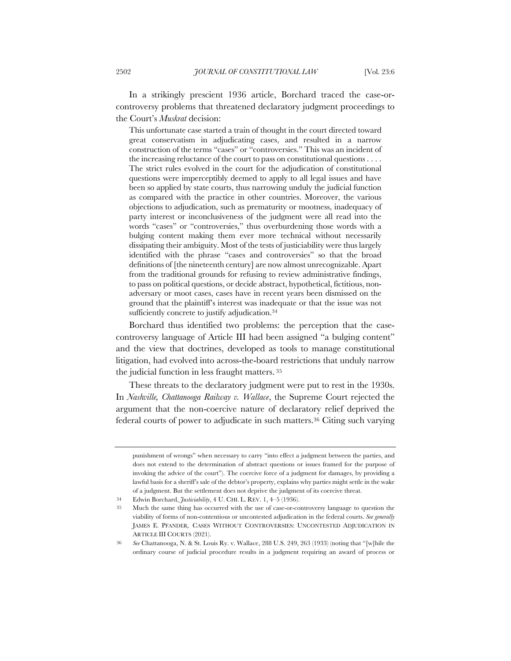In a strikingly prescient 1936 article, Borchard traced the case-orcontroversy problems that threatened declaratory judgment proceedings to the Court's *Muskrat* decision:

This unfortunate case started a train of thought in the court directed toward great conservatism in adjudicating cases, and resulted in a narrow construction of the terms "cases" or "controversies." This was an incident of the increasing reluctance of the court to pass on constitutional questions . . . . The strict rules evolved in the court for the adjudication of constitutional questions were imperceptibly deemed to apply to all legal issues and have been so applied by state courts, thus narrowing unduly the judicial function as compared with the practice in other countries. Moreover, the various objections to adjudication, such as prematurity or mootness, inadequacy of party interest or inconclusiveness of the judgment were all read into the words "cases" or "controversies," thus overburdening those words with a bulging content making them ever more technical without necessarily dissipating their ambiguity. Most of the tests of justiciability were thus largely identified with the phrase "cases and controversies" so that the broad definitions of [the nineteenth century] are now almost unrecognizable. Apart from the traditional grounds for refusing to review administrative findings, to pass on political questions, or decide abstract, hypothetical, fictitious, nonadversary or moot cases, cases have in recent years been dismissed on the ground that the plaintiff's interest was inadequate or that the issue was not sufficiently concrete to justify adjudication.<sup>34</sup>

Borchard thus identified two problems: the perception that the casecontroversy language of Article III had been assigned "a bulging content" and the view that doctrines, developed as tools to manage constitutional litigation, had evolved into across-the-board restrictions that unduly narrow the judicial function in less fraught matters. <sup>35</sup>

These threats to the declaratory judgment were put to rest in the 1930s. In *Nashville, Chattanooga Railway v. Wallace*, the Supreme Court rejected the argument that the non-coercive nature of declaratory relief deprived the federal courts of power to adjudicate in such matters.36 Citing such varying

punishment of wrongs" when necessary to carry "into effect a judgment between the parties, and does not extend to the determination of abstract questions or issues framed for the purpose of invoking the advice of the court"). The coercive force of a judgment for damages, by providing a lawful basis for a sheriff's sale of the debtor's property, explains why parties might settle in the wake of a judgment. But the settlement does not deprive the judgment of its coercive threat.

<sup>34</sup> Edwin Borchard, *Justiciability*, 4 U. CHI. L. REV. 1, 4–5 (1936).

<sup>35</sup> Much the same thing has occurred with the use of case-or-controversy language to question the viability of forms of non-contentious or uncontested adjudication in the federal courts. *See generally* JAMES E. PFANDER*,* CASES WITHOUT CONTROVERSIES: UNCONTESTED ADJUDICATION IN ARTICLE III COURTS (2021).

<sup>36</sup> *See* Chattanooga, N. & St. Louis Ry. v. Wallace, 288 U.S. 249, 263 (1933) (noting that "[w]hile the ordinary course of judicial procedure results in a judgment requiring an award of process or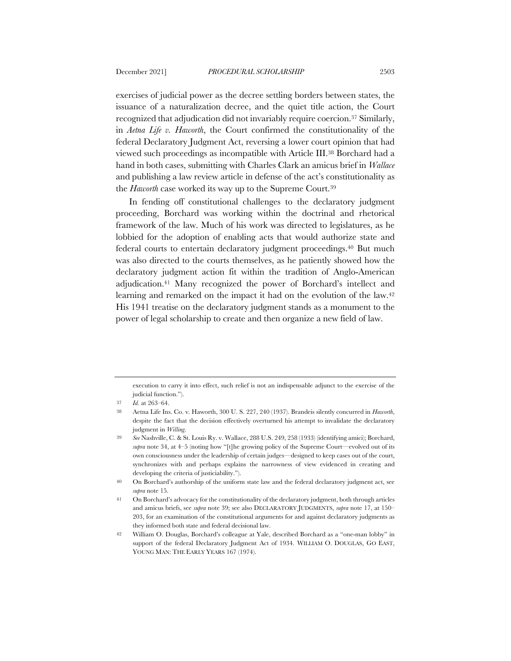exercises of judicial power as the decree settling borders between states, the issuance of a naturalization decree, and the quiet title action, the Court recognized that adjudication did not invariably require coercion.37 Similarly, in *Aetna Life v. Haworth*, the Court confirmed the constitutionality of the federal Declaratory Judgment Act, reversing a lower court opinion that had viewed such proceedings as incompatible with Article III.38 Borchard had a hand in both cases, submitting with Charles Clark an amicus brief in *Wallace* and publishing a law review article in defense of the act's constitutionality as the *Haworth* case worked its way up to the Supreme Court.39

In fending off constitutional challenges to the declaratory judgment proceeding, Borchard was working within the doctrinal and rhetorical framework of the law. Much of his work was directed to legislatures, as he lobbied for the adoption of enabling acts that would authorize state and federal courts to entertain declaratory judgment proceedings.40 But much was also directed to the courts themselves, as he patiently showed how the declaratory judgment action fit within the tradition of Anglo-American adjudication.41 Many recognized the power of Borchard's intellect and learning and remarked on the impact it had on the evolution of the law.42 His 1941 treatise on the declaratory judgment stands as a monument to the power of legal scholarship to create and then organize a new field of law.

execution to carry it into effect, such relief is not an indispensable adjunct to the exercise of the judicial function.").

<sup>37</sup> *Id.* at 263–64.

<sup>38</sup> Aetna Life Ins. Co. v. Haworth, 300 U. S. 227, 240 (1937). Brandeis silently concurred in *Haworth*, despite the fact that the decision effectively overturned his attempt to invalidate the declaratory judgment in *Willing*.

<sup>39</sup> *See* Nashville, C. & St. Louis Ry. v. Wallace, 288 U.S. 249, 258 (1933) (identifying amici); Borchard, *supra* note 34, at 4–5 (noting how "[t]he growing policy of the Supreme Court—evolved out of its own consciousness under the leadership of certain judges—designed to keep cases out of the court, synchronizes with and perhaps explains the narrowness of view evidenced in creating and developing the criteria of justiciability.").

<sup>40</sup> On Borchard's authorship of the uniform state law and the federal declaratory judgment act, see *supra* note 15.

<sup>41</sup> On Borchard's advocacy for the constitutionality of the declaratory judgment, both through articles and amicus briefs, see *supra* note 39; see also DECLARATORY JUDGMENTS, *supra* note 17, at 150– 203, for an examination of the constitutional arguments for and against declaratory judgments as they informed both state and federal decisional law.

<sup>42</sup> William O. Douglas, Borchard's colleague at Yale, described Borchard as a "one-man lobby" in support of the federal Declaratory Judgment Act of 1934. WILLIAM O. DOUGLAS, GO EAST, YOUNG MAN: THE EARLY YEARS 167 (1974).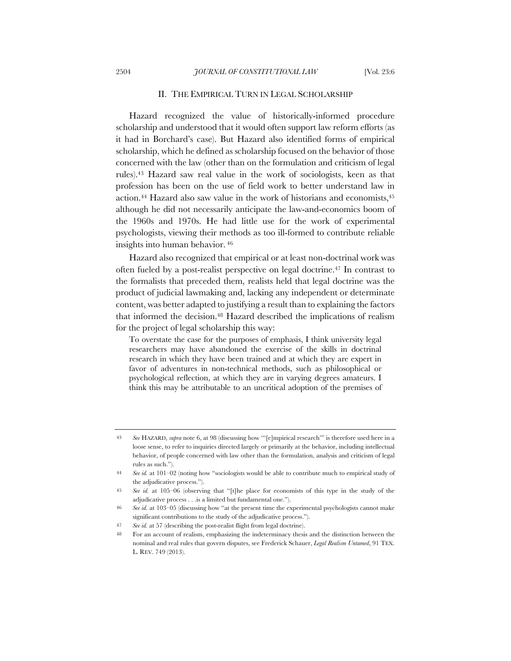#### II. THE EMPIRICAL TURN IN LEGAL SCHOLARSHIP

Hazard recognized the value of historically-informed procedure scholarship and understood that it would often support law reform efforts (as it had in Borchard's case). But Hazard also identified forms of empirical scholarship, which he defined as scholarship focused on the behavior of those concerned with the law (other than on the formulation and criticism of legal rules).43 Hazard saw real value in the work of sociologists, keen as that profession has been on the use of field work to better understand law in action.<sup>44</sup> Hazard also saw value in the work of historians and economists,<sup>45</sup> although he did not necessarily anticipate the law-and-economics boom of the 1960s and 1970s. He had little use for the work of experimental psychologists, viewing their methods as too ill-formed to contribute reliable insights into human behavior. <sup>46</sup>

Hazard also recognized that empirical or at least non-doctrinal work was often fueled by a post-realist perspective on legal doctrine.47 In contrast to the formalists that preceded them, realists held that legal doctrine was the product of judicial lawmaking and, lacking any independent or determinate content, was better adapted to justifying a result than to explaining the factors that informed the decision.<sup>48</sup> Hazard described the implications of realism for the project of legal scholarship this way:

To overstate the case for the purposes of emphasis, I think university legal researchers may have abandoned the exercise of the skills in doctrinal research in which they have been trained and at which they are expert in favor of adventures in non-technical methods, such as philosophical or psychological reflection, at which they are in varying degrees amateurs. I think this may be attributable to an uncritical adoption of the premises of

<sup>43</sup> *See* HAZARD, *supra* note 6, at 98 (discussing how '"[e]mpirical research'" is therefore used here in a loose sense, to refer to inquiries directed largely or primarily at the behavior, including intellectual behavior, of people concerned with law other than the formulation, analysis and criticism of legal rules as such.").

<sup>44</sup> *See id.* at 101–02 (noting how "sociologists would be able to contribute much to empirical study of the adjudicative process.").

<sup>45</sup> *See id.* at 105–06 (observing that "[t]he place for economists of this type in the study of the adjudicative process . . .is a limited but fundamental one.").

<sup>46</sup> *See id.* at 103–05 (discussing how "at the present time the experimental psychologists cannot make significant contributions to the study of the adjudicative process.").

<sup>47</sup> *See id.* at 57 (describing the post-realist flight from legal doctrine).

<sup>48</sup> For an account of realism, emphasizing the indeterminacy thesis and the distinction between the nominal and real rules that govern disputes, see Frederick Schauer, *Legal Realism Untamed*, 91 TEX. L. REV. 749 (2013).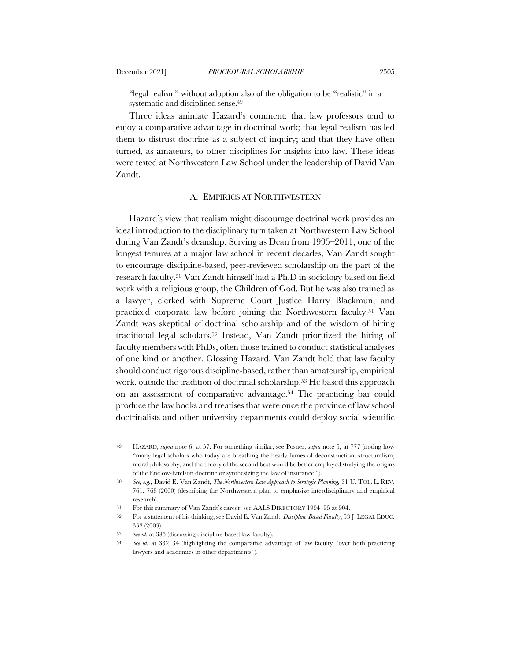"legal realism" without adoption also of the obligation to be "realistic" in a systematic and disciplined sense.<sup>49</sup>

Three ideas animate Hazard's comment: that law professors tend to enjoy a comparative advantage in doctrinal work; that legal realism has led them to distrust doctrine as a subject of inquiry; and that they have often turned, as amateurs, to other disciplines for insights into law. These ideas were tested at Northwestern Law School under the leadership of David Van Zandt.

## A. EMPIRICS AT NORTHWESTERN

Hazard's view that realism might discourage doctrinal work provides an ideal introduction to the disciplinary turn taken at Northwestern Law School during Van Zandt's deanship. Serving as Dean from 1995–2011, one of the longest tenures at a major law school in recent decades, Van Zandt sought to encourage discipline-based, peer-reviewed scholarship on the part of the research faculty.50 Van Zandt himself had a Ph.D in sociology based on field work with a religious group, the Children of God. But he was also trained as a lawyer, clerked with Supreme Court Justice Harry Blackmun, and practiced corporate law before joining the Northwestern faculty.51 Van Zandt was skeptical of doctrinal scholarship and of the wisdom of hiring traditional legal scholars.52 Instead, Van Zandt prioritized the hiring of faculty members with PhDs, often those trained to conduct statistical analyses of one kind or another. Glossing Hazard, Van Zandt held that law faculty should conduct rigorous discipline-based, rather than amateurship, empirical work, outside the tradition of doctrinal scholarship.53 He based this approach on an assessment of comparative advantage.54 The practicing bar could produce the law books and treatises that were once the province of law school doctrinalists and other university departments could deploy social scientific

<sup>49</sup> HAZARD, *supra* note 6, at 57. For something similar, see Posner, *supra* note 5, at 777 (noting how "many legal scholars who today are breathing the heady fumes of deconstruction, structuralism, moral philosophy, and the theory of the second best would be better employed studying the origins of the Enelow-Ettelson doctrine or synthesizing the law of insurance.").

<sup>50</sup> *See, e.g.,* David E. Van Zandt, *The Northwestern Law Approach to Strategic Planning,* 31 U. TOL. L. REV. 761, 768 (2000) (describing the Northwestern plan to emphasize interdisciplinary and empirical research).

<sup>51</sup> For this summary of Van Zandt's career, see AALS DIRECTORY 1994–95 at 904.

<sup>52</sup> For a statement of his thinking, see David E. Van Zandt, *Discipline-Based Faculty*, 53 J. LEGAL EDUC. 332 (2003).

<sup>53</sup> *See id.* at 335 (discussing discipline-based law faculty).

<sup>54</sup> *See id.* at 332–34 (highlighting the comparative advantage of law faculty "over both practicing lawyers and academics in other departments").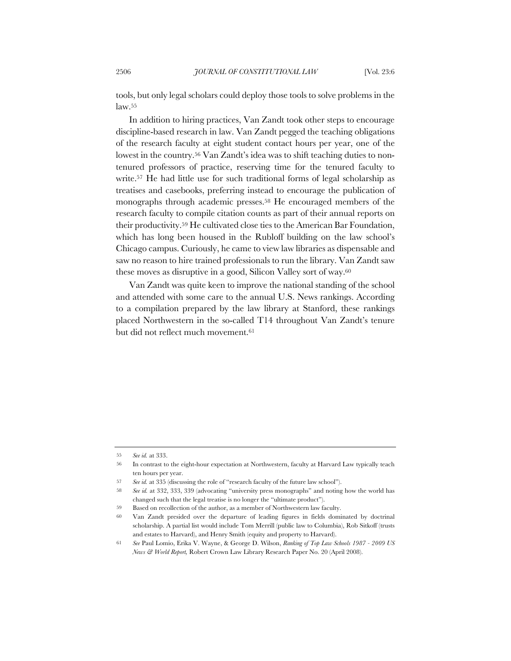tools, but only legal scholars could deploy those tools to solve problems in the law.55

In addition to hiring practices, Van Zandt took other steps to encourage discipline-based research in law. Van Zandt pegged the teaching obligations of the research faculty at eight student contact hours per year, one of the lowest in the country.<sup>56</sup> Van Zandt's idea was to shift teaching duties to nontenured professors of practice, reserving time for the tenured faculty to write.57 He had little use for such traditional forms of legal scholarship as treatises and casebooks, preferring instead to encourage the publication of monographs through academic presses.58 He encouraged members of the research faculty to compile citation counts as part of their annual reports on their productivity.59 He cultivated close ties to the American Bar Foundation, which has long been housed in the Rubloff building on the law school's Chicago campus. Curiously, he came to view law libraries as dispensable and saw no reason to hire trained professionals to run the library. Van Zandt saw these moves as disruptive in a good, Silicon Valley sort of way.60

Van Zandt was quite keen to improve the national standing of the school and attended with some care to the annual U.S. News rankings. According to a compilation prepared by the law library at Stanford, these rankings placed Northwestern in the so-called T14 throughout Van Zandt's tenure but did not reflect much movement.61

<sup>55</sup> *See id.* at 333.

<sup>56</sup> In contrast to the eight-hour expectation at Northwestern, faculty at Harvard Law typically teach ten hours per year.

<sup>57</sup> *See id.* at 335 (discussing the role of "research faculty of the future law school").

<sup>58</sup> *See id.* at 332, 333, 339 (advocating "university press monographs" and noting how the world has changed such that the legal treatise is no longer the "ultimate product").

<sup>59</sup> Based on recollection of the author, as a member of Northwestern law faculty.

<sup>60</sup> Van Zandt presided over the departure of leading figures in fields dominated by doctrinal scholarship. A partial list would include Tom Merrill (public law to Columbia), Rob Sitkoff (trusts and estates to Harvard), and Henry Smith (equity and property to Harvard).

<sup>61</sup> *See* Paul Lomio, Erika V. Wayne, & George D. Wilson, *Ranking of Top Law Schools 1987 - 2009 US News & World Report,* Robert Crown Law Library Research Paper No. 20 (April 2008).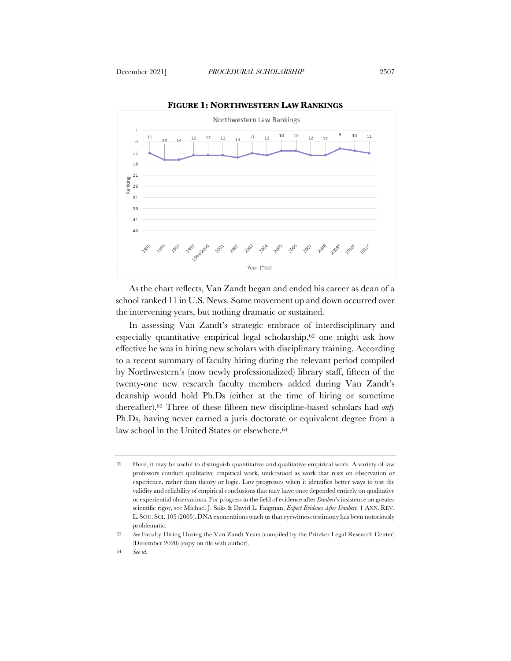

**FIGURE 1: NORTHWESTERN LAW RANKINGS**

As the chart reflects, Van Zandt began and ended his career as dean of a school ranked 11 in U.S. News. Some movement up and down occurred over the intervening years, but nothing dramatic or sustained.

In assessing Van Zandt's strategic embrace of interdisciplinary and especially quantitative empirical legal scholarship,62 one might ask how effective he was in hiring new scholars with disciplinary training. According to a recent summary of faculty hiring during the relevant period compiled by Northwestern's (now newly professionalized) library staff, fifteen of the twenty-one new research faculty members added during Van Zandt's deanship would hold Ph.Ds (either at the time of hiring or sometime thereafter).63 Three of these fifteen new discipline-based scholars had *only* Ph.Ds, having never earned a juris doctorate or equivalent degree from a law school in the United States or elsewhere.64

<sup>62</sup> Here, it may be useful to distinguish quantitative and qualitative empirical work. A variety of law professors conduct qualitative empirical work, understood as work that rests on observation or experience, rather than theory or logic. Law progresses when it identifies better ways to test the validity and reliability of empirical conclusions that may have once depended entirely on qualitative or experiential observations. For progress in the field of evidence after *Daubert*'s insistence on greater scientific rigor, see Michael J. Saks & David L. Faigman, *Expert Evidence After Daubert,* 1 ANN. REV. L. SOC. SCI. 105 (2005). DNA exonerations teach us that eyewitness testimony has been notoriously problematic.

<sup>63</sup> *See* Faculty Hiring During the Van Zandt Years (compiled by the Pritzker Legal Research Center) (December 2020) (copy on file with author).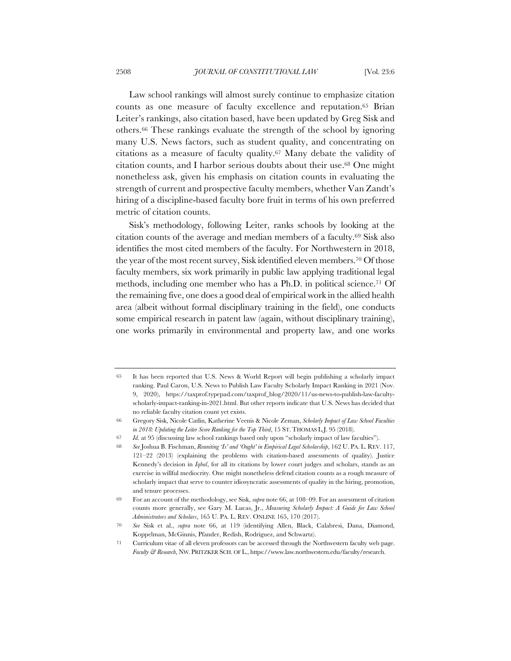Law school rankings will almost surely continue to emphasize citation counts as one measure of faculty excellence and reputation.65 Brian Leiter's rankings, also citation based, have been updated by Greg Sisk and others.66 These rankings evaluate the strength of the school by ignoring many U.S. News factors, such as student quality, and concentrating on citations as a measure of faculty quality.67 Many debate the validity of citation counts, and I harbor serious doubts about their use.68 One might nonetheless ask, given his emphasis on citation counts in evaluating the strength of current and prospective faculty members, whether Van Zandt's hiring of a discipline-based faculty bore fruit in terms of his own preferred metric of citation counts.

Sisk's methodology, following Leiter, ranks schools by looking at the citation counts of the average and median members of a faculty.69 Sisk also identifies the most cited members of the faculty. For Northwestern in 2018, the year of the most recent survey, Sisk identified eleven members.70 Of those faculty members, six work primarily in public law applying traditional legal methods, including one member who has a Ph.D. in political science.71 Of the remaining five, one does a good deal of empirical work in the allied health area (albeit without formal disciplinary training in the field), one conducts some empirical research in patent law (again, without disciplinary training), one works primarily in environmental and property law, and one works

<sup>65</sup> It has been reported that U.S. News & World Report will begin publishing a scholarly impact ranking. Paul Caron, U.S. News to Publish Law Faculty Scholarly Impact Ranking in 2021 (Nov. 9, 2020), https://taxprof.typepad.com/taxprof\_blog/2020/11/us-news-to-publish-law-facultyscholarly-impact-ranking-in-2021.html. But other reports indicate that U.S. News has decided that no reliable faculty citation count yet exists.

<sup>66</sup> Gregory Sisk, Nicole Catlin, Katherine Veenis & Nicole Zeman, *Scholarly Impact of Law School Faculties in 2018: Updating the Leiter Score Ranking for the Top Third*, 15 ST. THOMAS L.J. 95 (2018).

<sup>67</sup> *Id.* at 95 (discussing law school rankings based only upon "scholarly impact of law faculties").

<sup>68</sup> *See* Joshua B. Fischman, *Reuniting 'Is' and 'Ought' in Empirical Legal Scholarship*, 162 U. PA. L. REV. 117, 121–22 (2013) (explaining the problems with citation-based assessments of quality). Justice Kennedy's decision in *Iqbal*, for all its citations by lower court judges and scholars, stands as an exercise in willful mediocrity. One might nonetheless defend citation counts as a rough measure of scholarly impact that serve to counter idiosyncratic assessments of quality in the hiring, promotion, and tenure processes.

<sup>69</sup> For an account of the methodology, see Sisk, *supra* note 66, at 108–09. For an assessment of citation counts more generally, see Gary M. Lucas, Jr., *Measuring Scholarly Impact: A Guide for Law School Administrators and Scholars*, 165 U. PA. L. REV. ONLINE 165, 170 (2017).

<sup>70</sup> *See* Sisk et al., *supra* note 66, at 119 (identifying Allen, Black, Calabresi, Dana, Diamond, Koppelman, McGinnis, Pfander, Redish, Rodriguez, and Schwartz).

<sup>71</sup> Curriculum vitae of all eleven professors can be accessed through the Northwestern faculty web page. *Faculty & Research*, NW. PRITZKER SCH. OF L., https://www.law.northwestern.edu/faculty/research.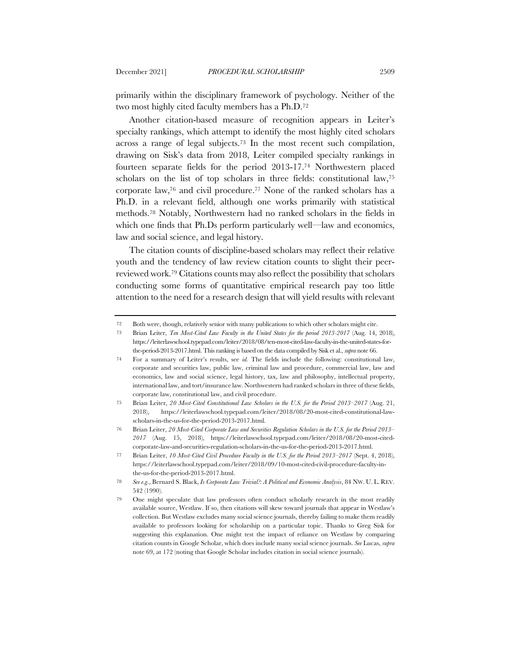primarily within the disciplinary framework of psychology. Neither of the two most highly cited faculty members has a Ph.D.72

Another citation-based measure of recognition appears in Leiter's specialty rankings, which attempt to identify the most highly cited scholars across a range of legal subjects.73 In the most recent such compilation, drawing on Sisk's data from 2018, Leiter compiled specialty rankings in fourteen separate fields for the period 2013-17.74 Northwestern placed scholars on the list of top scholars in three fields: constitutional law,75 corporate law,76 and civil procedure.77 None of the ranked scholars has a Ph.D. in a relevant field, although one works primarily with statistical methods.78 Notably, Northwestern had no ranked scholars in the fields in which one finds that Ph.Ds perform particularly well—law and economics, law and social science, and legal history.

The citation counts of discipline-based scholars may reflect their relative youth and the tendency of law review citation counts to slight their peerreviewed work.79 Citations counts may also reflect the possibility that scholars conducting some forms of quantitative empirical research pay too little attention to the need for a research design that will yield results with relevant

<sup>72</sup> Both were, though, relatively senior with many publications to which other scholars might cite.

<sup>73</sup> Brian Leiter, *Ten Most-Cited Law Faculty in the United States for the period 2013-2017* (Aug. 14, 2018), https://leiterlawschool.typepad.com/leiter/2018/08/ten-most-cited-law-faculty-in-the-united-states-forthe-period-2013-2017.html. This ranking is based on the data compiled by Sisk et al., *supra* note 66.

<sup>74</sup> For a summary of Leiter's results, see *id.* The fields include the following: constitutional law, corporate and securities law, public law, criminal law and procedure, commercial law, law and economics, law and social science, legal history, tax, law and philosophy, intellectual property, international law, and tort/insurance law. Northwestern had ranked scholars in three of these fields, corporate law, constitutional law, and civil procedure.

<sup>75</sup> Brian Leiter, *20 Most-Cited Constitutional Law Scholars in the U.S. for the Period 2013–2017* (Aug. 21, 2018), https://leiterlawschool.typepad.com/leiter/2018/08/20-most-cited-constitutional-lawscholars-in-the-us-for-the-period-2013-2017.html*.*

<sup>76</sup> Brian Leiter, *20 Most-Cited Corporate Law and Securities Regulation Scholars in the U.S. for the Period 2013– 2017* (Aug. 15, 2018), https://leiterlawschool.typepad.com/leiter/2018/08/20-most-citedcorporate-law-and-securities-regulation-scholars-in-the-us-for-the-period-2013-2017.html.

<sup>77</sup> Brian Leiter, *10 Most-Cited Civil Procedure Faculty in the U.S. for the Period 2013–2017* (Sept. 4, 2018), https://leiterlawschool.typepad.com/leiter/2018/09/10-most-cited-civil-procedure-faculty-inthe-us-for-the-period-2013-2017.html.

<sup>78</sup> *See e.g*., Bernard S. Black, *Is Corporate Law Trivial?: A Political and Economic Analysis*, 84 NW. U. L. REV. 542 (1990).

<sup>79</sup> One might speculate that law professors often conduct scholarly research in the most readily available source, Westlaw. If so, then citations will skew toward journals that appear in Westlaw's collection. But Westlaw excludes many social science journals, thereby failing to make them readily available to professors looking for scholarship on a particular topic. Thanks to Greg Sisk for suggesting this explanation. One might test the impact of reliance on Westlaw by comparing citation counts in Google Scholar, which does include many social science journals. *See* Lucas, *supra*  note 69, at 172 (noting that Google Scholar includes citation in social science journals).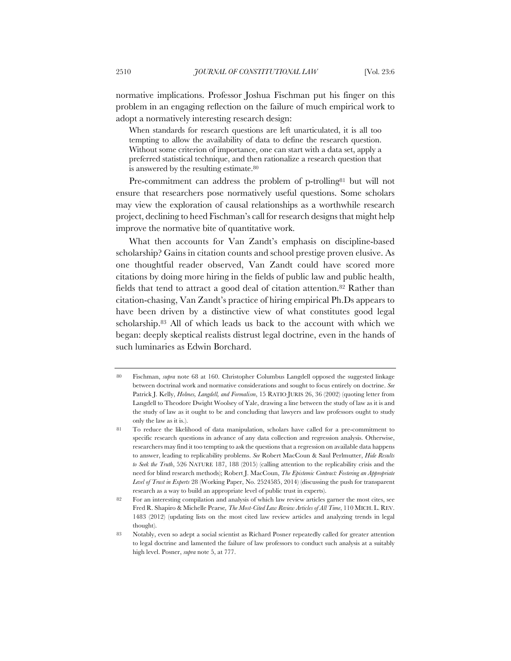normative implications. Professor Joshua Fischman put his finger on this problem in an engaging reflection on the failure of much empirical work to adopt a normatively interesting research design:

When standards for research questions are left unarticulated, it is all too tempting to allow the availability of data to define the research question. Without some criterion of importance, one can start with a data set, apply a preferred statistical technique, and then rationalize a research question that is answered by the resulting estimate.80

Pre-commitment can address the problem of p-trolling<sup>81</sup> but will not ensure that researchers pose normatively useful questions. Some scholars may view the exploration of causal relationships as a worthwhile research project, declining to heed Fischman's call for research designs that might help improve the normative bite of quantitative work.

What then accounts for Van Zandt's emphasis on discipline-based scholarship? Gains in citation counts and school prestige proven elusive. As one thoughtful reader observed, Van Zandt could have scored more citations by doing more hiring in the fields of public law and public health, fields that tend to attract a good deal of citation attention.<sup>82</sup> Rather than citation-chasing, Van Zandt's practice of hiring empirical Ph.Ds appears to have been driven by a distinctive view of what constitutes good legal scholarship.83 All of which leads us back to the account with which we began: deeply skeptical realists distrust legal doctrine, even in the hands of such luminaries as Edwin Borchard.

<sup>80</sup> Fischman, *supra* note 68 at 160. Christopher Columbus Langdell opposed the suggested linkage between doctrinal work and normative considerations and sought to focus entirely on doctrine. *See* Patrick J. Kelly, *Holmes, Langdell, and Formalism*, 15 RATIO JURIS 26, 36 (2002) (quoting letter from Langdell to Theodore Dwight Woolsey of Yale, drawing a line between the study of law as it is and the study of law as it ought to be and concluding that lawyers and law professors ought to study only the law as it is.).

<sup>81</sup> To reduce the likelihood of data manipulation, scholars have called for a pre-commitment to specific research questions in advance of any data collection and regression analysis. Otherwise, researchers may find it too tempting to ask the questions that a regression on available data happens to answer, leading to replicability problems. *See* Robert MacCoun & Saul Perlmutter, *Hide Results to Seek the Truth*, 526 NATURE 187, 188 (2015) (calling attention to the replicability crisis and the need for blind research methods); Robert J. MacCoun, *The Epistemic Contract: Fostering an Appropriate Level of Trust in Experts* 28 (Working Paper, No. 2524585, 2014) (discussing the push for transparent research as a way to build an appropriate level of public trust in experts).

<sup>82</sup> For an interesting compilation and analysis of which law review articles garner the most cites, see Fred R. Shapiro & Michelle Pearse*, The Most-Cited Law Review Articles of All Time*, 110 MICH. L. REV. 1483 (2012) (updating lists on the most cited law review articles and analyzing trends in legal thought).

<sup>83</sup> Notably, even so adept a social scientist as Richard Posner repeatedly called for greater attention to legal doctrine and lamented the failure of law professors to conduct such analysis at a suitably high level. Posner, *supra* note 5, at 777.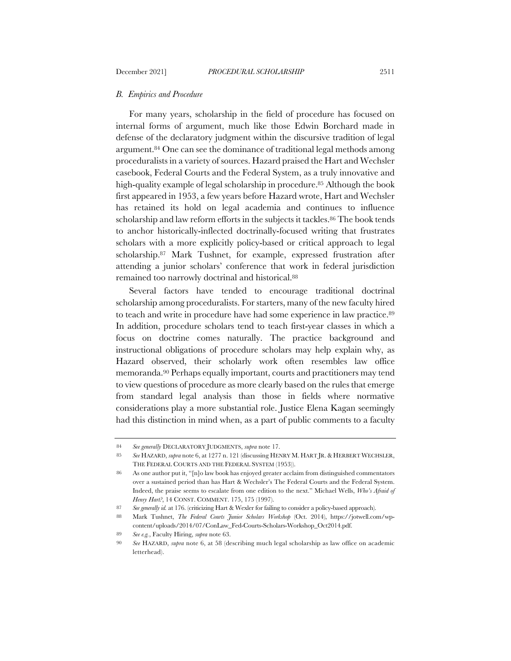#### *B. Empirics and Procedure*

For many years, scholarship in the field of procedure has focused on internal forms of argument, much like those Edwin Borchard made in defense of the declaratory judgment within the discursive tradition of legal argument.84 One can see the dominance of traditional legal methods among proceduralists in a variety of sources. Hazard praised the Hart and Wechsler casebook, Federal Courts and the Federal System, as a truly innovative and high-quality example of legal scholarship in procedure.85 Although the book first appeared in 1953, a few years before Hazard wrote, Hart and Wechsler has retained its hold on legal academia and continues to influence scholarship and law reform efforts in the subjects it tackles.<sup>86</sup> The book tends to anchor historically-inflected doctrinally-focused writing that frustrates scholars with a more explicitly policy-based or critical approach to legal scholarship.87 Mark Tushnet, for example, expressed frustration after attending a junior scholars' conference that work in federal jurisdiction remained too narrowly doctrinal and historical.88

Several factors have tended to encourage traditional doctrinal scholarship among proceduralists. For starters, many of the new faculty hired to teach and write in procedure have had some experience in law practice.89 In addition, procedure scholars tend to teach first-year classes in which a focus on doctrine comes naturally. The practice background and instructional obligations of procedure scholars may help explain why, as Hazard observed, their scholarly work often resembles law office memoranda.90 Perhaps equally important, courts and practitioners may tend to view questions of procedure as more clearly based on the rules that emerge from standard legal analysis than those in fields where normative considerations play a more substantial role. Justice Elena Kagan seemingly had this distinction in mind when, as a part of public comments to a faculty

<sup>84</sup> *See generally* DECLARATORY JUDGMENTS, *supra* note 17.

<sup>85</sup> *See* HAZARD, *supra* note 6, at 1277 n. 121 (discussing HENRY M. HART JR.& HERBERT WECHSLER, THE FEDERAL COURTS AND THE FEDERAL SYSTEM (1953)).

<sup>86</sup> As one author put it, "[n]o law book has enjoyed greater acclaim from distinguished commentators over a sustained period than has Hart & Wechsler's The Federal Courts and the Federal System. Indeed, the praise seems to escalate from one edition to the next." Michael Wells, *Who's Afraid of Henry Hart?*, 14 CONST. COMMENT. 175, 175 (1997).

<sup>87</sup> *See generally id.* at 176. (criticizing Hart & Wexler for failing to consider a policy-based approach).

<sup>88</sup> Mark Tushnet, *The Federal Courts Junior Scholars Workshop* (Oct. 2014), https://jotwell.com/wpcontent/uploads/2014/07/ConLaw\_Fed-Courts-Scholars-Workshop\_Oct2014.pdf.

<sup>89</sup> *See e.g.*, Faculty Hiring, *supra* note 63.

<sup>90</sup> *See* HAZARD, *supra* note 6, at 58 (describing much legal scholarship as law office on academic letterhead).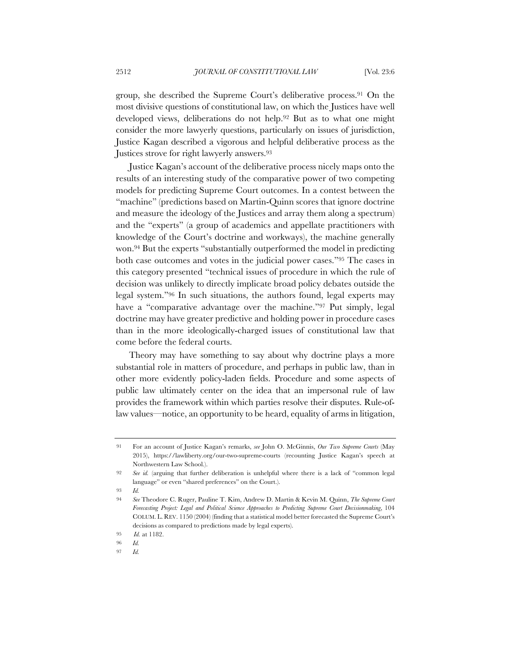group, she described the Supreme Court's deliberative process.91 On the most divisive questions of constitutional law, on which the Justices have well developed views, deliberations do not help.92 But as to what one might consider the more lawyerly questions, particularly on issues of jurisdiction, Justice Kagan described a vigorous and helpful deliberative process as the Justices strove for right lawyerly answers.93

Justice Kagan's account of the deliberative process nicely maps onto the results of an interesting study of the comparative power of two competing models for predicting Supreme Court outcomes. In a contest between the "machine" (predictions based on Martin-Quinn scores that ignore doctrine and measure the ideology of the Justices and array them along a spectrum) and the "experts" (a group of academics and appellate practitioners with knowledge of the Court's doctrine and workways), the machine generally won.94 But the experts "substantially outperformed the model in predicting both case outcomes and votes in the judicial power cases."95 The cases in this category presented "technical issues of procedure in which the rule of decision was unlikely to directly implicate broad policy debates outside the legal system."96 In such situations, the authors found, legal experts may have a "comparative advantage over the machine."<sup>97</sup> Put simply, legal doctrine may have greater predictive and holding power in procedure cases than in the more ideologically-charged issues of constitutional law that come before the federal courts.

Theory may have something to say about why doctrine plays a more substantial role in matters of procedure, and perhaps in public law, than in other more evidently policy-laden fields. Procedure and some aspects of public law ultimately center on the idea that an impersonal rule of law provides the framework within which parties resolve their disputes. Rule-oflaw values—notice, an opportunity to be heard, equality of arms in litigation,

<sup>91</sup> For an account of Justice Kagan's remarks, *see* John O. McGinnis, *Our Two Supreme Courts* (May 2015), https://lawliberty.org/our-two-supreme-courts (recounting Justice Kagan's speech at Northwestern Law School.).

<sup>92</sup> *See id.* (arguing that further deliberation is unhelpful where there is a lack of "common legal language" or even "shared preferences" on the Court.).

<sup>93</sup> *Id.*

<sup>94</sup> *See* Theodore C. Ruger, Pauline T. Kim, Andrew D. Martin & Kevin M. Quinn, *The Supreme Court Forecasting Project: Legal and Political Science Approaches to Predicting Supreme Court Decisionmaking*, 104 COLUM. L. REV. 1150 (2004) (finding that a statistical model better forecasted the Supreme Court's decisions as compared to predictions made by legal experts).

<sup>95</sup> *Id.* at 1182.

<sup>96</sup> *Id.*

<sup>97</sup> *Id.*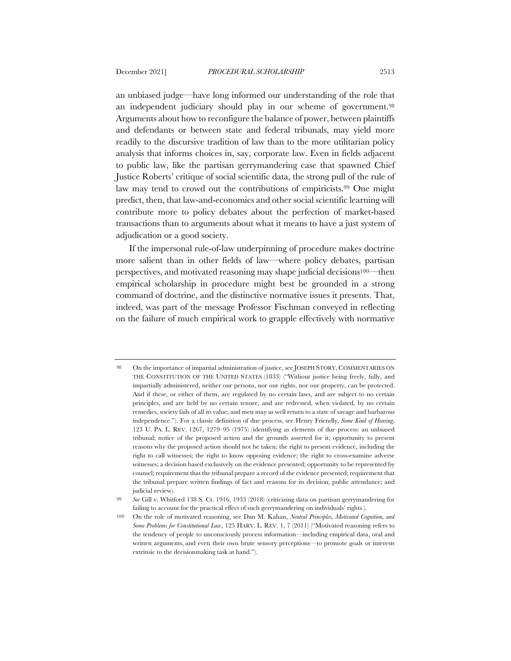an unbiased judge—have long informed our understanding of the role that an independent judiciary should play in our scheme of government.98 Arguments about how to reconfigure the balance of power, between plaintiffs and defendants or between state and federal tribunals, may yield more readily to the discursive tradition of law than to the more utilitarian policy analysis that informs choices in, say, corporate law. Even in fields adjacent to public law, like the partisan gerrymandering case that spawned Chief Justice Roberts' critique of social scientific data, the strong pull of the rule of law may tend to crowd out the contributions of empiricists.99 One might predict, then, that law-and-economics and other social scientific learning will contribute more to policy debates about the perfection of market-based transactions than to arguments about what it means to have a just system of adjudication or a good society.

If the impersonal rule-of-law underpinning of procedure makes doctrine more salient than in other fields of law—where policy debates, partisan perspectives, and motivated reasoning may shape judicial decisions100—then empirical scholarship in procedure might best be grounded in a strong command of doctrine, and the distinctive normative issues it presents. That, indeed, was part of the message Professor Fischman conveyed in reflecting on the failure of much empirical work to grapple effectively with normative

<sup>98</sup> On the importance of impartial administration of justice, see JOSEPH STORY, COMMENTARIES ON THE CONSTITUTION OF THE UNITED STATES (1833) ("Without justice being freely, fully, and impartially administered, neither our persons, nor our rights, nor our property, can be protected. And if these, or either of them, are regulated by no certain laws, and are subject to no certain principles, and are held by no certain tenure, and are redressed, when violated, by no certain remedies, society fails of all its value; and men may as well return to a state of savage and barbarous independence."). For a classic definition of due process, see Henry Friendly, *Some Kind of Hearing*, 123 U. PA. L. REV. 1267, 1279–95 (1975) (identifying as elements of due process: an unbiased tribunal; notice of the proposed action and the grounds asserted for it; opportunity to present reasons why the proposed action should not be taken; the right to present evidence, including the right to call witnesses; the right to know opposing evidence; the right to cross-examine adverse witnesses; a decision based exclusively on the evidence presented; opportunity to be represented by counsel; requirement that the tribunal prepare a record of the evidence presented; requirement that the tribunal prepare written findings of fact and reasons for its decision; public attendance; and judicial review).

<sup>99</sup> *See* Gill v. Whitford 138 S. Ct. 1916, 1933 (2018) (criticizing data on partisan gerrymandering for failing to account for the practical effect of such gerrymandering on individuals' rights.).

<sup>100</sup> On the role of motivated reasoning, see Dan M. Kahan, *Neutral Principles, Motivated Cognition, and Some Problems for Constitutional Law*, 125 HARV. L. REV. 1, 7 (2011) ("Motivated reasoning refers to the tendency of people to unconsciously process information—including empirical data, oral and written arguments, and even their own brute sensory perceptions—to promote goals or interests extrinsic to the decisionmaking task at hand.").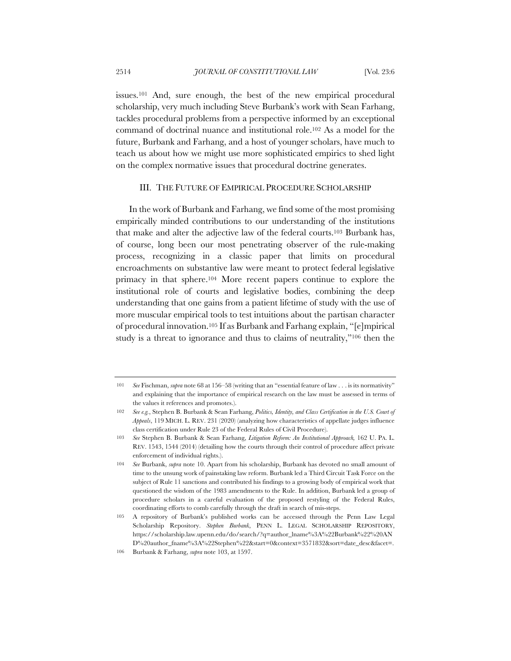issues.101 And, sure enough, the best of the new empirical procedural scholarship, very much including Steve Burbank's work with Sean Farhang, tackles procedural problems from a perspective informed by an exceptional command of doctrinal nuance and institutional role.102 As a model for the future, Burbank and Farhang, and a host of younger scholars, have much to teach us about how we might use more sophisticated empirics to shed light on the complex normative issues that procedural doctrine generates.

# III. THE FUTURE OF EMPIRICAL PROCEDURE SCHOLARSHIP

In the work of Burbank and Farhang, we find some of the most promising empirically minded contributions to our understanding of the institutions that make and alter the adjective law of the federal courts.103 Burbank has, of course, long been our most penetrating observer of the rule-making process, recognizing in a classic paper that limits on procedural encroachments on substantive law were meant to protect federal legislative primacy in that sphere.104 More recent papers continue to explore the institutional role of courts and legislative bodies, combining the deep understanding that one gains from a patient lifetime of study with the use of more muscular empirical tools to test intuitions about the partisan character of procedural innovation.105 If as Burbank and Farhang explain, "[e]mpirical study is a threat to ignorance and thus to claims of neutrality,"106 then the

<sup>101</sup> *See* Fischman, *supra* note 68 at 156–58 (writing that an "essential feature of law . . . is its normativity" and explaining that the importance of empirical research on the law must be assessed in terms of the values it references and promotes.).

<sup>102</sup> *See e.g.*, Stephen B. Burbank & Sean Farhang, *Politics, Identity, and Class Certification in the U.S. Court of Appeals*, 119 MICH. L. REV. 231 (2020) (analyzing how characteristics of appellate judges influence class certification under Rule 23 of the Federal Rules of Civil Procedure).

<sup>103</sup> *See* Stephen B. Burbank & Sean Farhang, *Litigation Reform: An Institutional Approach,* 162 U. PA. L. REV. 1543, 1544 (2014) (detailing how the courts through their control of procedure affect private enforcement of individual rights.).

<sup>104</sup> *See* Burbank, *supra* note 10. Apart from his scholarship, Burbank has devoted no small amount of time to the unsung work of painstaking law reform. Burbank led a Third Circuit Task Force on the subject of Rule 11 sanctions and contributed his findings to a growing body of empirical work that questioned the wisdom of the 1983 amendments to the Rule. In addition, Burbank led a group of procedure scholars in a careful evaluation of the proposed restyling of the Federal Rules, coordinating efforts to comb carefully through the draft in search of mis-steps.

<sup>105</sup> A repository of Burbank's published works can be accessed through the Penn Law Legal Scholarship Repository. *Stephen Burbank*, PENN L. LEGAL SCHOLARSHIP REPOSITORY, https://scholarship.law.upenn.edu/do/search/?q=author\_lname%3A%22Burbank%22%20AN D%20author\_fname%3A%22Stephen%22&start=0&context=3571832&sort=date\_desc&facet=.

<sup>106</sup> Burbank & Farhang, *supra* note 103, at 1597.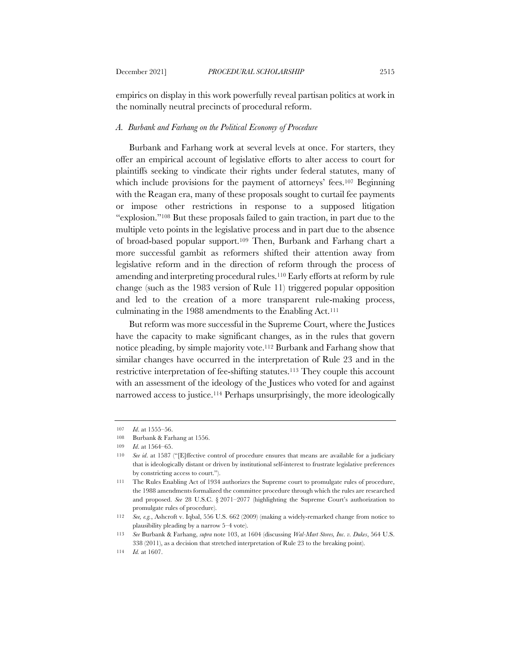empirics on display in this work powerfully reveal partisan politics at work in the nominally neutral precincts of procedural reform.

#### *A. Burbank and Farhang on the Political Economy of Procedure*

Burbank and Farhang work at several levels at once. For starters, they offer an empirical account of legislative efforts to alter access to court for plaintiffs seeking to vindicate their rights under federal statutes, many of which include provisions for the payment of attorneys' fees.<sup>107</sup> Beginning with the Reagan era, many of these proposals sought to curtail fee payments or impose other restrictions in response to a supposed litigation "explosion."108 But these proposals failed to gain traction, in part due to the multiple veto points in the legislative process and in part due to the absence of broad-based popular support.109 Then, Burbank and Farhang chart a more successful gambit as reformers shifted their attention away from legislative reform and in the direction of reform through the process of amending and interpreting procedural rules.110 Early efforts at reform by rule change (such as the 1983 version of Rule 11) triggered popular opposition and led to the creation of a more transparent rule-making process, culminating in the 1988 amendments to the Enabling Act.<sup>111</sup>

But reform was more successful in the Supreme Court, where the Justices have the capacity to make significant changes, as in the rules that govern notice pleading, by simple majority vote.112 Burbank and Farhang show that similar changes have occurred in the interpretation of Rule 23 and in the restrictive interpretation of fee-shifting statutes.<sup>113</sup> They couple this account with an assessment of the ideology of the Justices who voted for and against narrowed access to justice.114 Perhaps unsurprisingly, the more ideologically

<sup>107</sup> *Id*. at 1555–56.

<sup>108</sup> Burbank & Farhang at 1556.

<sup>109</sup> *Id*. at 1564–65.

<sup>110</sup> *See id*. at 1587 ("[E]ffective control of procedure ensures that means are available for a judiciary that is ideologically distant or driven by institutional self-interest to frustrate legislative preferences by constricting access to court.").

<sup>111</sup> The Rules Enabling Act of 1934 authorizes the Supreme court to promulgate rules of procedure, the 1988 amendments formalized the committee procedure through which the rules are researched and proposed. *See* 28 U.S.C. § 2071–2077 (highlighting the Supreme Court's authorization to promulgate rules of procedure).

<sup>112</sup> *See, e.g.*, Ashcroft v. Iqbal, 556 U.S. 662 (2009) (making a widely-remarked change from notice to plausibility pleading by a narrow 5–4 vote).

<sup>113</sup> *See* Burbank & Farhang, *supra* note 103, at 1604 (discussing *Wal-Mart Stores, Inc. v. Dukes*, 564 U.S. 338 (2011), as a decision that stretched interpretation of Rule 23 to the breaking point).

<sup>114</sup> *Id.* at 1607.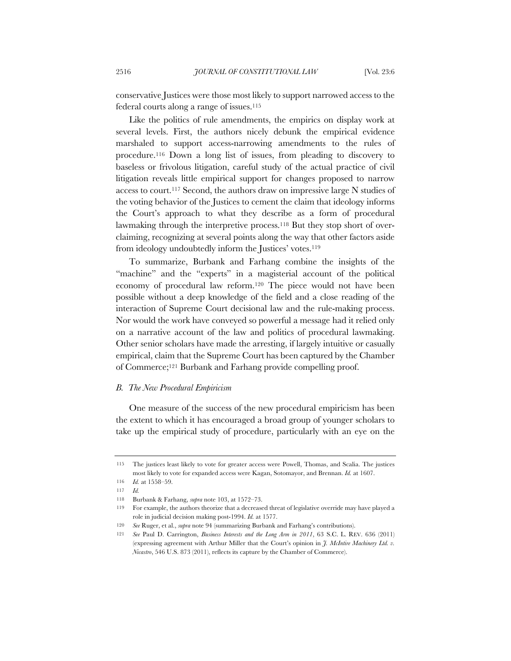conservative Justices were those most likely to support narrowed access to the federal courts along a range of issues.115

Like the politics of rule amendments, the empirics on display work at several levels. First, the authors nicely debunk the empirical evidence marshaled to support access-narrowing amendments to the rules of procedure.116 Down a long list of issues, from pleading to discovery to baseless or frivolous litigation, careful study of the actual practice of civil litigation reveals little empirical support for changes proposed to narrow access to court.117 Second, the authors draw on impressive large N studies of the voting behavior of the Justices to cement the claim that ideology informs the Court's approach to what they describe as a form of procedural lawmaking through the interpretive process.<sup>118</sup> But they stop short of overclaiming, recognizing at several points along the way that other factors aside from ideology undoubtedly inform the Justices' votes.119

To summarize, Burbank and Farhang combine the insights of the "machine" and the "experts" in a magisterial account of the political economy of procedural law reform.120 The piece would not have been possible without a deep knowledge of the field and a close reading of the interaction of Supreme Court decisional law and the rule-making process. Nor would the work have conveyed so powerful a message had it relied only on a narrative account of the law and politics of procedural lawmaking. Other senior scholars have made the arresting, if largely intuitive or casually empirical, claim that the Supreme Court has been captured by the Chamber of Commerce;121 Burbank and Farhang provide compelling proof.

#### *B. The New Procedural Empiricism*

One measure of the success of the new procedural empiricism has been the extent to which it has encouraged a broad group of younger scholars to take up the empirical study of procedure, particularly with an eye on the

<sup>115</sup> The justices least likely to vote for greater access were Powell, Thomas, and Scalia. The justices most likely to vote for expanded access were Kagan, Sotomayor, and Brennan. *Id.* at 1607.

<sup>116</sup> *Id.* at 1558–59.

<sup>117</sup> *Id.*

<sup>118</sup> Burbank & Farhang, *supra* note 103, at 1572–73.

<sup>119</sup> For example, the authors theorize that a decreased threat of legislative override may have played a role in judicial decision making post-1994. *Id.* at 1577.

<sup>120</sup> *See* Ruger, et al., *supra* note 94 (summarizing Burbank and Farhang's contributions).

<sup>121</sup> *See* Paul D. Carrington, *Business Interests and the Long Arm in 2011*, 63 S.C. L. REV. 636 (2011) (expressing agreement with Arthur Miller that the Court's opinion in *J. McIntire Machinery Ltd. v. Nicastro*, 546 U.S. 873 (2011), reflects its capture by the Chamber of Commerce).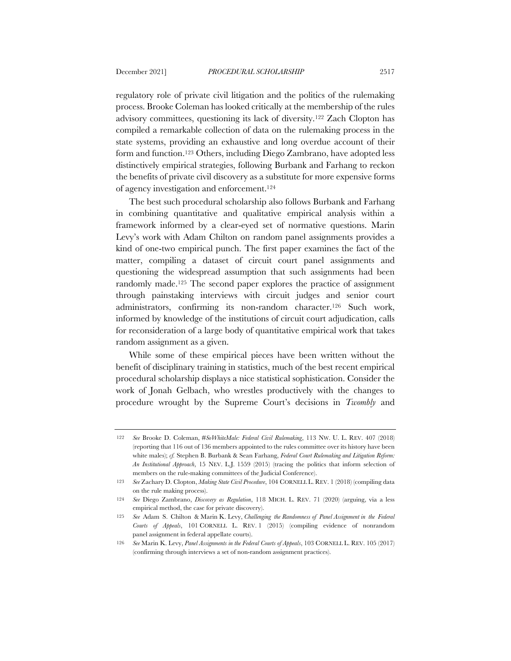regulatory role of private civil litigation and the politics of the rulemaking process. Brooke Coleman has looked critically at the membership of the rules advisory committees, questioning its lack of diversity.122 Zach Clopton has compiled a remarkable collection of data on the rulemaking process in the state systems, providing an exhaustive and long overdue account of their form and function.123 Others, including Diego Zambrano, have adopted less distinctively empirical strategies, following Burbank and Farhang to reckon the benefits of private civil discovery as a substitute for more expensive forms of agency investigation and enforcement.124

The best such procedural scholarship also follows Burbank and Farhang in combining quantitative and qualitative empirical analysis within a framework informed by a clear-eyed set of normative questions. Marin Levy's work with Adam Chilton on random panel assignments provides a kind of one-two empirical punch. The first paper examines the fact of the matter, compiling a dataset of circuit court panel assignments and questioning the widespread assumption that such assignments had been randomly made.125 The second paper explores the practice of assignment through painstaking interviews with circuit judges and senior court administrators, confirming its non-random character.126 Such work, informed by knowledge of the institutions of circuit court adjudication, calls for reconsideration of a large body of quantitative empirical work that takes random assignment as a given.

While some of these empirical pieces have been written without the benefit of disciplinary training in statistics, much of the best recent empirical procedural scholarship displays a nice statistical sophistication. Consider the work of Jonah Gelbach, who wrestles productively with the changes to procedure wrought by the Supreme Court's decisions in *Twombly* and

<sup>122</sup> *See* Brooke D. Coleman, *#SoWhiteMale: Federal Civil Rulemaking*, 113 NW. U. L. REV. 407 (2018) (reporting that 116 out of 136 members appointed to the rules committee over its history have been white males); *cf.* Stephen B. Burbank & Sean Farhang, *Federal Court Rulemaking and Litigation Reform: An Institutional Approach*, 15 NEV. L.J. 1559 (2015) (tracing the politics that inform selection of members on the rule-making committees of the Judicial Conference).

<sup>123</sup> *See* Zachary D. Clopton, *Making State Civil Procedure*, 104 CORNELL L. REV. 1 (2018) (compiling data on the rule making process).

<sup>124</sup> *See* Diego Zambrano, *Discovery as Regulation*, 118 MICH. L. REV. 71 (2020) (arguing, via a less empirical method, the case for private discovery).

<sup>125</sup> *See* Adam S. Chilton & Marin K. Levy, *Challenging the Randomness of Panel Assignment in the Federal Courts of Appeals*, 101 CORNELL L. REV. 1 (2015) (compiling evidence of nonrandom panel assignment in federal appellate courts).

<sup>126</sup> *See* Marin K. Levy, *Panel Assignments in the Federal Courts of Appeals*, 103 CORNELL L. REV. 105 (2017) (confirming through interviews a set of non-random assignment practices).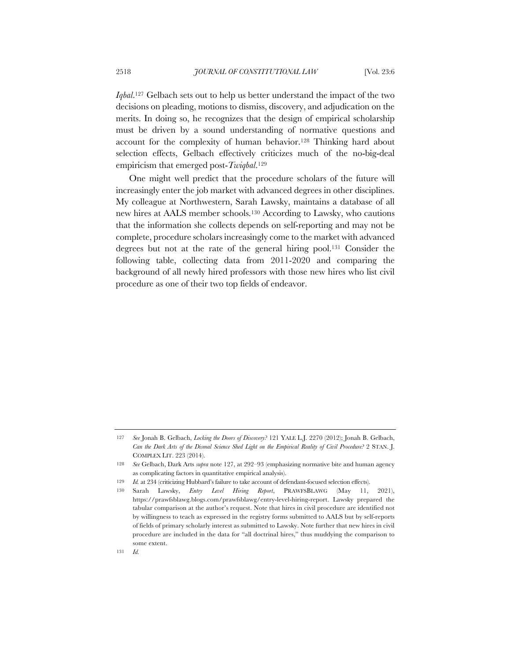*Iqbal*.127 Gelbach sets out to help us better understand the impact of the two decisions on pleading, motions to dismiss, discovery, and adjudication on the merits. In doing so, he recognizes that the design of empirical scholarship must be driven by a sound understanding of normative questions and account for the complexity of human behavior.128 Thinking hard about selection effects, Gelbach effectively criticizes much of the no-big-deal empiricism that emerged post-*Twiqbal*.129

One might well predict that the procedure scholars of the future will increasingly enter the job market with advanced degrees in other disciplines. My colleague at Northwestern, Sarah Lawsky, maintains a database of all new hires at AALS member schools.130 According to Lawsky, who cautions that the information she collects depends on self-reporting and may not be complete, procedure scholars increasingly come to the market with advanced degrees but not at the rate of the general hiring pool.131 Consider the following table, collecting data from 2011-2020 and comparing the background of all newly hired professors with those new hires who list civil procedure as one of their two top fields of endeavor.

<sup>127</sup> *See* Jonah B. Gelbach, *Locking the Doors of Discovery?* 121 YALE L.J. 2270 (2012); Jonah B. Gelbach, *Can the Dark Arts of the Dismal Science Shed Light on the Empirical Reality of Civil Procedure?* 2 STAN. J. COMPLEX LIT. 223 (2014).

<sup>128</sup> *See* Gelbach, Dark Arts *supra* note 127, at 292–93 (emphasizing normative bite and human agency as complicating factors in quantitative empirical analysis).

<sup>129</sup> *Id.* at 234 (criticizing Hubbard's failure to take account of defendant-focused selection effects).

<sup>130</sup> Sarah Lawsky, *Entry Level Hiring Report*, PRAWFSBLAWG (May 11, 2021), https://prawfsblawg.blogs.com/prawfsblawg/entry-level-hiring-report. Lawsky prepared the tabular comparison at the author's request. Note that hires in civil procedure are identified not by willingness to teach as expressed in the registry forms submitted to AALS but by self-reports of fields of primary scholarly interest as submitted to Lawsky. Note further that new hires in civil procedure are included in the data for "all doctrinal hires," thus muddying the comparison to some extent.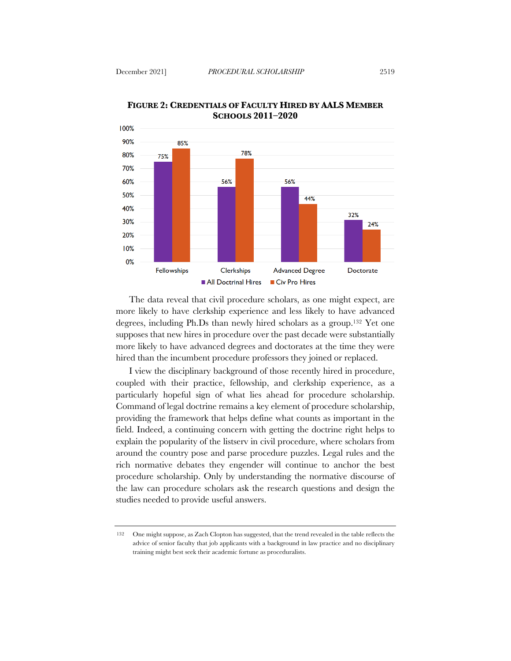



The data reveal that civil procedure scholars, as one might expect, are more likely to have clerkship experience and less likely to have advanced degrees, including Ph.Ds than newly hired scholars as a group.132 Yet one supposes that new hires in procedure over the past decade were substantially more likely to have advanced degrees and doctorates at the time they were hired than the incumbent procedure professors they joined or replaced.

I view the disciplinary background of those recently hired in procedure, coupled with their practice, fellowship, and clerkship experience, as a particularly hopeful sign of what lies ahead for procedure scholarship. Command of legal doctrine remains a key element of procedure scholarship, providing the framework that helps define what counts as important in the field. Indeed, a continuing concern with getting the doctrine right helps to explain the popularity of the listserv in civil procedure, where scholars from around the country pose and parse procedure puzzles. Legal rules and the rich normative debates they engender will continue to anchor the best procedure scholarship. Only by understanding the normative discourse of the law can procedure scholars ask the research questions and design the studies needed to provide useful answers.

<sup>132</sup> One might suppose, as Zach Clopton has suggested, that the trend revealed in the table reflects the advice of senior faculty that job applicants with a background in law practice and no disciplinary training might best seek their academic fortune as proceduralists.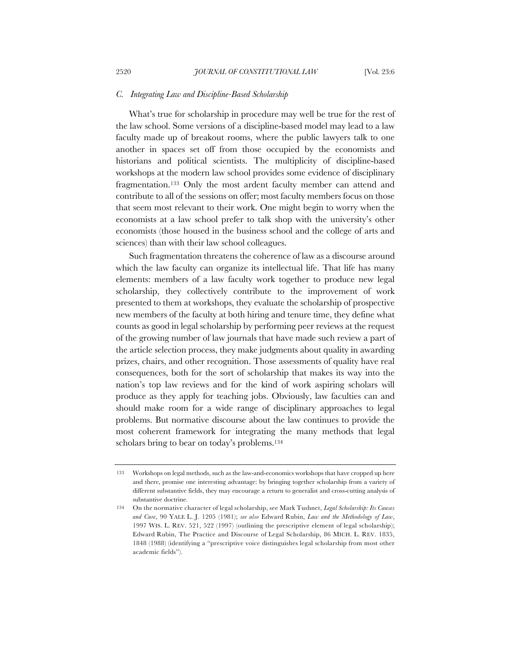#### *C. Integrating Law and Discipline-Based Scholarship*

What's true for scholarship in procedure may well be true for the rest of the law school. Some versions of a discipline-based model may lead to a law faculty made up of breakout rooms, where the public lawyers talk to one another in spaces set off from those occupied by the economists and historians and political scientists. The multiplicity of discipline-based workshops at the modern law school provides some evidence of disciplinary fragmentation.133 Only the most ardent faculty member can attend and contribute to all of the sessions on offer; most faculty members focus on those that seem most relevant to their work. One might begin to worry when the economists at a law school prefer to talk shop with the university's other economists (those housed in the business school and the college of arts and sciences) than with their law school colleagues.

Such fragmentation threatens the coherence of law as a discourse around which the law faculty can organize its intellectual life. That life has many elements: members of a law faculty work together to produce new legal scholarship, they collectively contribute to the improvement of work presented to them at workshops, they evaluate the scholarship of prospective new members of the faculty at both hiring and tenure time, they define what counts as good in legal scholarship by performing peer reviews at the request of the growing number of law journals that have made such review a part of the article selection process, they make judgments about quality in awarding prizes, chairs, and other recognition. Those assessments of quality have real consequences, both for the sort of scholarship that makes its way into the nation's top law reviews and for the kind of work aspiring scholars will produce as they apply for teaching jobs. Obviously, law faculties can and should make room for a wide range of disciplinary approaches to legal problems. But normative discourse about the law continues to provide the most coherent framework for integrating the many methods that legal scholars bring to bear on today's problems.134

<sup>133</sup> Workshops on legal methods, such as the law-and-economics workshops that have cropped up here and there, promise one interesting advantage: by bringing together scholarship from a variety of different substantive fields, they may encourage a return to generalist and cross-cutting analysis of substantive doctrine.

<sup>134</sup> On the normative character of legal scholarship, see Mark Tushnet, *Legal Scholarship: Its Causes and Cure*, 90 YALE L. J. 1205 (1981); *see also* Edward Rubin, *Law and the Methodology of Law*, 1997 WIS. L. REV. 521, 522 (1997) (outlining the prescriptive element of legal scholarship); Edward Rubin, The Practice and Discourse of Legal Scholarship, 86 MICH. L. REV. 1835, 1848 (1988) (identifying a "prescriptive voice distinguishes legal scholarship from most other academic fields").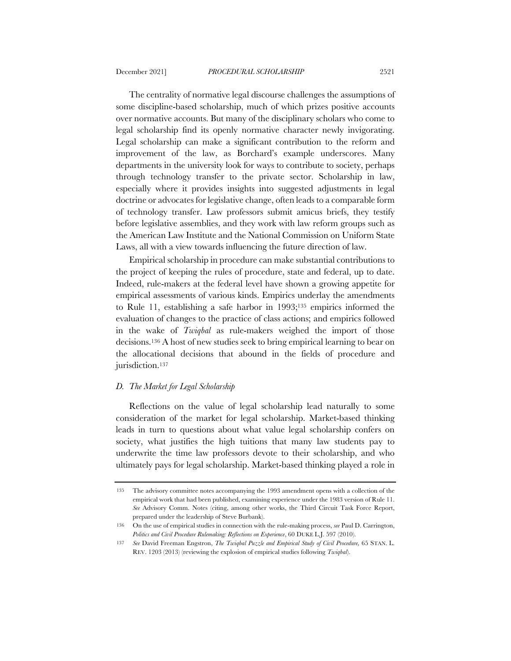The centrality of normative legal discourse challenges the assumptions of some discipline-based scholarship, much of which prizes positive accounts over normative accounts. But many of the disciplinary scholars who come to legal scholarship find its openly normative character newly invigorating. Legal scholarship can make a significant contribution to the reform and improvement of the law, as Borchard's example underscores. Many departments in the university look for ways to contribute to society, perhaps through technology transfer to the private sector. Scholarship in law, especially where it provides insights into suggested adjustments in legal doctrine or advocates for legislative change, often leads to a comparable form of technology transfer. Law professors submit amicus briefs, they testify before legislative assemblies, and they work with law reform groups such as the American Law Institute and the National Commission on Uniform State Laws, all with a view towards influencing the future direction of law.

Empirical scholarship in procedure can make substantial contributions to the project of keeping the rules of procedure, state and federal, up to date. Indeed, rule-makers at the federal level have shown a growing appetite for empirical assessments of various kinds. Empirics underlay the amendments to Rule 11, establishing a safe harbor in 1993;135 empirics informed the evaluation of changes to the practice of class actions; and empirics followed in the wake of *Twiqbal* as rule-makers weighed the import of those decisions.136 A host of new studies seek to bring empirical learning to bear on the allocational decisions that abound in the fields of procedure and jurisdiction.<sup>137</sup>

### *D. The Market for Legal Scholarship*

Reflections on the value of legal scholarship lead naturally to some consideration of the market for legal scholarship. Market-based thinking leads in turn to questions about what value legal scholarship confers on society, what justifies the high tuitions that many law students pay to underwrite the time law professors devote to their scholarship, and who ultimately pays for legal scholarship. Market-based thinking played a role in

<sup>135</sup> The advisory committee notes accompanying the 1993 amendment opens with a collection of the empirical work that had been published, examining experience under the 1983 version of Rule 11. *See* Advisory Comm. Notes (citing, among other works, the Third Circuit Task Force Report, prepared under the leadership of Steve Burbank).

<sup>136</sup> On the use of empirical studies in connection with the rule-making process, *see* Paul D. Carrington, *Politics and Civil Procedure Rulemaking: Reflections on Experience*, 60 DUKE L.J. 597 (2010).

<sup>137</sup> *See* David Freeman Engstron, *The Twiqbal Puzzle and Empirical Study of Civil Procedure,* 65 STAN. L. REV. 1203 (2013) (reviewing the explosion of empirical studies following *Twiqbal*).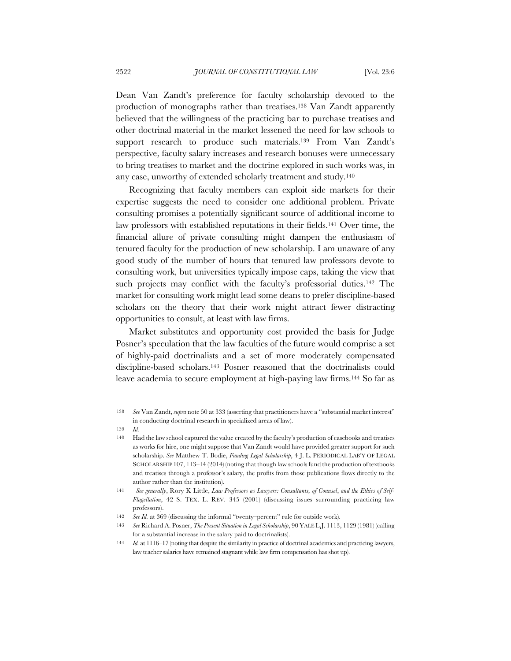Dean Van Zandt's preference for faculty scholarship devoted to the production of monographs rather than treatises.138 Van Zandt apparently believed that the willingness of the practicing bar to purchase treatises and other doctrinal material in the market lessened the need for law schools to support research to produce such materials.<sup>139</sup> From Van Zandt's perspective, faculty salary increases and research bonuses were unnecessary to bring treatises to market and the doctrine explored in such works was, in any case, unworthy of extended scholarly treatment and study.140

Recognizing that faculty members can exploit side markets for their expertise suggests the need to consider one additional problem. Private consulting promises a potentially significant source of additional income to law professors with established reputations in their fields.141 Over time, the financial allure of private consulting might dampen the enthusiasm of tenured faculty for the production of new scholarship. I am unaware of any good study of the number of hours that tenured law professors devote to consulting work, but universities typically impose caps, taking the view that such projects may conflict with the faculty's professorial duties.<sup>142</sup> The market for consulting work might lead some deans to prefer discipline-based scholars on the theory that their work might attract fewer distracting opportunities to consult, at least with law firms.

Market substitutes and opportunity cost provided the basis for Judge Posner's speculation that the law faculties of the future would comprise a set of highly-paid doctrinalists and a set of more moderately compensated discipline-based scholars.143 Posner reasoned that the doctrinalists could leave academia to secure employment at high-paying law firms.144 So far as

<sup>138</sup> *See* Van Zandt, *supra* note 50 at 333 (asserting that practitioners have a "substantial market interest" in conducting doctrinal research in specialized areas of law).

<sup>139</sup> *Id.*

<sup>140</sup> Had the law school captured the value created by the faculty's production of casebooks and treatises as works for hire, one might suppose that Van Zandt would have provided greater support for such scholarship. *See* Matthew T. Bodie, *Funding Legal Scholarship*, 4 J. L. PERIODICAL LAB'Y OF LEGAL SCHOLARSHIP 107, 113–14 (2014) (noting that though law schools fund the production of textbooks and treatises through a professor's salary, the profits from those publications flows directly to the author rather than the institution).

<sup>141</sup> *See generally*, Rory K Little, *Law Professors as Lawyers: Consultants, of Counsel*, *and the Ethics of Self-Flagellation*, 42 S. TEX. L. REV. 345 (2001) (discussing issues surrounding practicing law professors).

<sup>142</sup> *See Id.* at 369 (discussing the informal "twenty–percent" rule for outside work).

<sup>143</sup> *See* Richard A. Posner, *The Present Situation in Legal Scholarship*, 90 YALE L.J. 1113, 1129 (1981) (calling for a substantial increase in the salary paid to doctrinalists).

<sup>144</sup> *Id.* at 1116–17 (noting that despite the similarity in practice of doctrinal academics and practicing lawyers, law teacher salaries have remained stagnant while law firm compensation has shot up).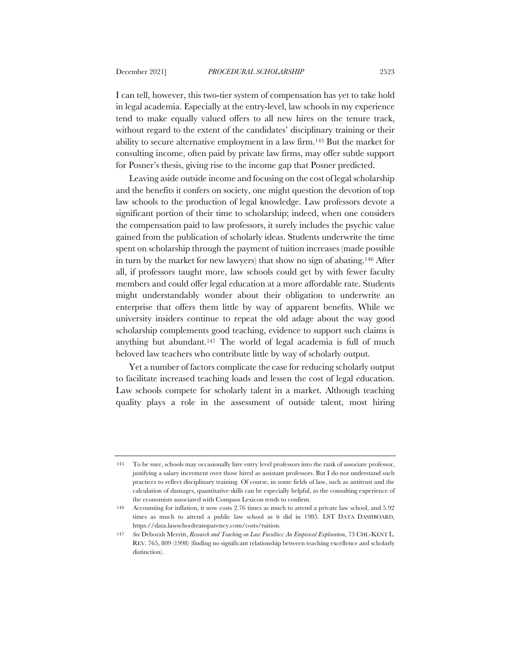I can tell, however, this two-tier system of compensation has yet to take hold in legal academia. Especially at the entry-level, law schools in my experience tend to make equally valued offers to all new hires on the tenure track, without regard to the extent of the candidates' disciplinary training or their ability to secure alternative employment in a law firm.145 But the market for consulting income, often paid by private law firms, may offer subtle support for Posner's thesis, giving rise to the income gap that Posner predicted.

Leaving aside outside income and focusing on the cost of legal scholarship and the benefits it confers on society, one might question the devotion of top law schools to the production of legal knowledge. Law professors devote a significant portion of their time to scholarship; indeed, when one considers the compensation paid to law professors, it surely includes the psychic value gained from the publication of scholarly ideas. Students underwrite the time spent on scholarship through the payment of tuition increases (made possible in turn by the market for new lawyers) that show no sign of abating.146 After all, if professors taught more, law schools could get by with fewer faculty members and could offer legal education at a more affordable rate. Students might understandably wonder about their obligation to underwrite an enterprise that offers them little by way of apparent benefits. While we university insiders continue to repeat the old adage about the way good scholarship complements good teaching, evidence to support such claims is anything but abundant.147 The world of legal academia is full of much beloved law teachers who contribute little by way of scholarly output.

Yet a number of factors complicate the case for reducing scholarly output to facilitate increased teaching loads and lessen the cost of legal education. Law schools compete for scholarly talent in a market. Although teaching quality plays a role in the assessment of outside talent, most hiring

<sup>145</sup> To be sure, schools may occasionally hire entry level professors into the rank of associate professor, justifying a salary increment over those hired as assistant professors. But I do not understand such practices to reflect disciplinary training. Of course, in some fields of law, such as antitrust and the calculation of damages, quantitative skills can be especially helpful, as the consulting experience of the economists associated with Compass Lexicon tends to confirm.

<sup>146</sup> Accounting for inflation, it now costs 2.76 times as much to attend a private law school, and 5.92 times as much to attend a public law school as it did in 1985. LST DATA DASHBOARD, https://data.lawschooltransparency.com/costs/tuition.

<sup>147</sup> *See* Deborah Merritt, *Research and Teaching on Law Faculties: An Empirical Exploration*, 73 CHI.-KENT L. REV. 765, 809 (1998) (finding no significant relationship between teaching excellence and scholarly distinction).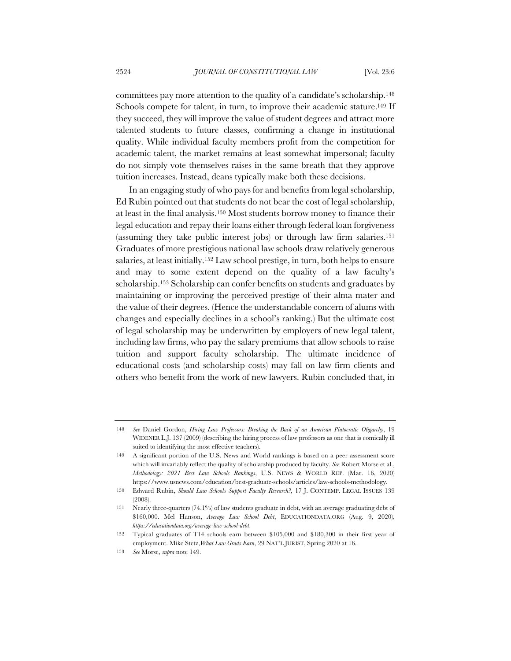committees pay more attention to the quality of a candidate's scholarship.148 Schools compete for talent, in turn, to improve their academic stature.<sup>149</sup> If they succeed, they will improve the value of student degrees and attract more talented students to future classes, confirming a change in institutional quality. While individual faculty members profit from the competition for academic talent, the market remains at least somewhat impersonal; faculty do not simply vote themselves raises in the same breath that they approve tuition increases. Instead, deans typically make both these decisions.

In an engaging study of who pays for and benefits from legal scholarship, Ed Rubin pointed out that students do not bear the cost of legal scholarship, at least in the final analysis.150 Most students borrow money to finance their legal education and repay their loans either through federal loan forgiveness (assuming they take public interest jobs) or through law firm salaries.151 Graduates of more prestigious national law schools draw relatively generous salaries, at least initially.152 Law school prestige, in turn, both helps to ensure and may to some extent depend on the quality of a law faculty's scholarship.153 Scholarship can confer benefits on students and graduates by maintaining or improving the perceived prestige of their alma mater and the value of their degrees. (Hence the understandable concern of alums with changes and especially declines in a school's ranking.) But the ultimate cost of legal scholarship may be underwritten by employers of new legal talent, including law firms, who pay the salary premiums that allow schools to raise tuition and support faculty scholarship. The ultimate incidence of educational costs (and scholarship costs) may fall on law firm clients and others who benefit from the work of new lawyers. Rubin concluded that, in

<sup>148</sup> *See* Daniel Gordon, *Hiring Law Professors: Breaking the Back of an American Plutocratic Oligarchy*, 19 WIDENER L.J. 137 (2009) (describing the hiring process of law professors as one that is comically ill suited to identifying the most effective teachers).

<sup>149</sup> A significant portion of the U.S. News and World rankings is based on a peer assessment score which will invariably reflect the quality of scholarship produced by faculty. *See* Robert Morse et al., *Methodology: 2021 Best Law Schools Rankings*, U.S. NEWS & WORLD REP. (Mar. 16, 2020) https://www.usnews.com/education/best-graduate-schools/articles/law-schools-methodology.

<sup>150</sup> Edward Rubin, *Should Law Schools Support Faculty Research?*, 17 J. CONTEMP. LEGAL ISSUES 139 (2008).

<sup>151</sup> Nearly three-quarters (74.1%) of law students graduate in debt, with an average graduating debt of \$160,000. Mel Hanson, *Average Law School Debt*, EDUCATIONDATA.ORG (Aug. 9, 2020), *https://educationdata.org/average-law-school-debt*.

<sup>152</sup> Typical graduates of T14 schools earn between \$105,000 and \$180,300 in their first year of employment. Mike Stetz,*What Law Grads Earn*, 29 NAT'L JURIST, Spring 2020 at 16.

<sup>153</sup> *See* Morse, *supra* note 149.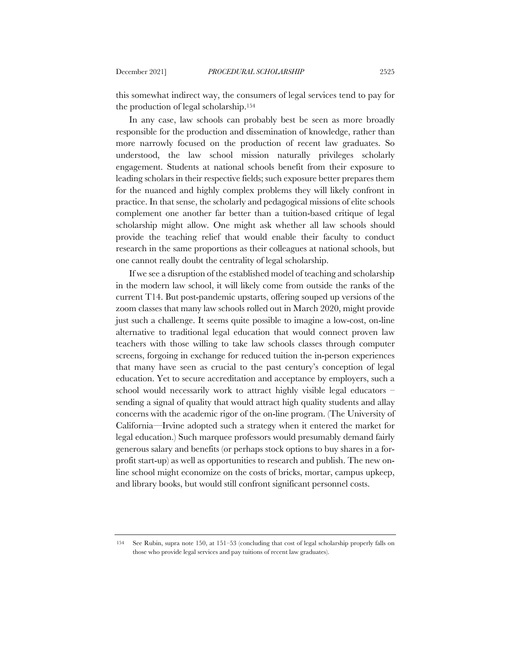this somewhat indirect way, the consumers of legal services tend to pay for the production of legal scholarship.154

In any case, law schools can probably best be seen as more broadly responsible for the production and dissemination of knowledge, rather than more narrowly focused on the production of recent law graduates. So understood, the law school mission naturally privileges scholarly engagement. Students at national schools benefit from their exposure to leading scholars in their respective fields; such exposure better prepares them for the nuanced and highly complex problems they will likely confront in practice. In that sense, the scholarly and pedagogical missions of elite schools complement one another far better than a tuition-based critique of legal scholarship might allow. One might ask whether all law schools should provide the teaching relief that would enable their faculty to conduct research in the same proportions as their colleagues at national schools, but one cannot really doubt the centrality of legal scholarship.

If we see a disruption of the established model of teaching and scholarship in the modern law school, it will likely come from outside the ranks of the current T14. But post-pandemic upstarts, offering souped up versions of the zoom classes that many law schools rolled out in March 2020, might provide just such a challenge. It seems quite possible to imagine a low-cost, on-line alternative to traditional legal education that would connect proven law teachers with those willing to take law schools classes through computer screens, forgoing in exchange for reduced tuition the in-person experiences that many have seen as crucial to the past century's conception of legal education. Yet to secure accreditation and acceptance by employers, such a school would necessarily work to attract highly visible legal educators – sending a signal of quality that would attract high quality students and allay concerns with the academic rigor of the on-line program. (The University of California—Irvine adopted such a strategy when it entered the market for legal education.) Such marquee professors would presumably demand fairly generous salary and benefits (or perhaps stock options to buy shares in a forprofit start-up) as well as opportunities to research and publish. The new online school might economize on the costs of bricks, mortar, campus upkeep, and library books, but would still confront significant personnel costs.

<sup>154</sup> See Rubin, supra note 150, at 151–53 (concluding that cost of legal scholarship properly falls on those who provide legal services and pay tuitions of recent law graduates).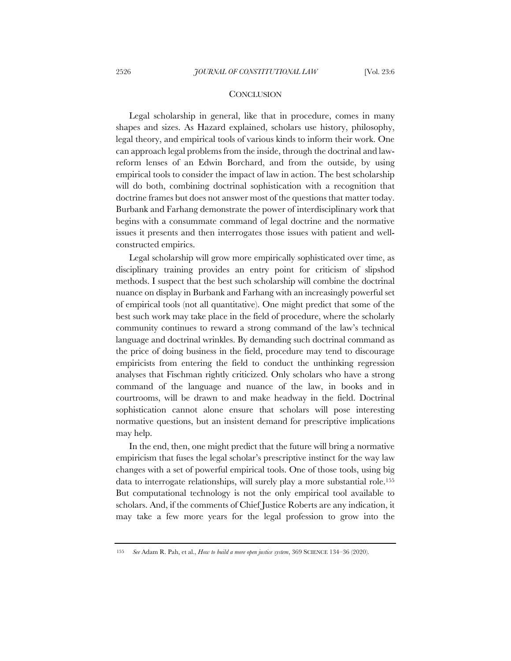#### **CONCLUSION**

Legal scholarship in general, like that in procedure, comes in many shapes and sizes. As Hazard explained, scholars use history, philosophy, legal theory, and empirical tools of various kinds to inform their work. One can approach legal problems from the inside, through the doctrinal and lawreform lenses of an Edwin Borchard, and from the outside, by using empirical tools to consider the impact of law in action. The best scholarship will do both, combining doctrinal sophistication with a recognition that doctrine frames but does not answer most of the questions that matter today. Burbank and Farhang demonstrate the power of interdisciplinary work that begins with a consummate command of legal doctrine and the normative issues it presents and then interrogates those issues with patient and wellconstructed empirics.

Legal scholarship will grow more empirically sophisticated over time, as disciplinary training provides an entry point for criticism of slipshod methods. I suspect that the best such scholarship will combine the doctrinal nuance on display in Burbank and Farhang with an increasingly powerful set of empirical tools (not all quantitative). One might predict that some of the best such work may take place in the field of procedure, where the scholarly community continues to reward a strong command of the law's technical language and doctrinal wrinkles. By demanding such doctrinal command as the price of doing business in the field, procedure may tend to discourage empiricists from entering the field to conduct the unthinking regression analyses that Fischman rightly criticized. Only scholars who have a strong command of the language and nuance of the law, in books and in courtrooms, will be drawn to and make headway in the field. Doctrinal sophistication cannot alone ensure that scholars will pose interesting normative questions, but an insistent demand for prescriptive implications may help.

In the end, then, one might predict that the future will bring a normative empiricism that fuses the legal scholar's prescriptive instinct for the way law changes with a set of powerful empirical tools. One of those tools, using big data to interrogate relationships, will surely play a more substantial role.155 But computational technology is not the only empirical tool available to scholars. And, if the comments of Chief Justice Roberts are any indication, it may take a few more years for the legal profession to grow into the

<sup>155</sup> *See* Adam R. Pah, et al., *How to build a more open justice system*, 369 SCIENCE 134–36 (2020).